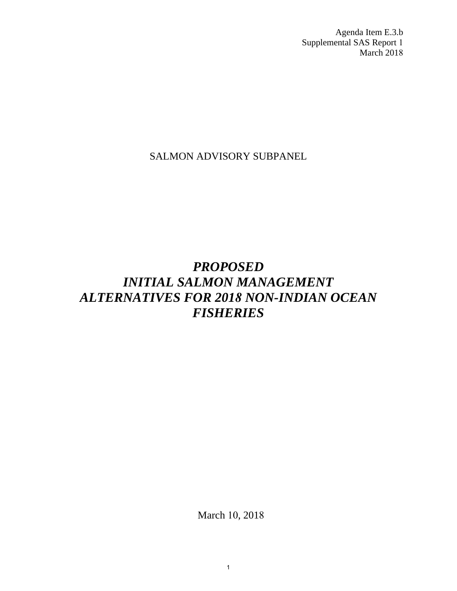Agenda Item E.3.b Supplemental SAS Report 1 March 2018

SALMON ADVISORY SUBPANEL

# *PROPOSED INITIAL SALMON MANAGEMENT ALTERNATIVES FOR 2018 NON-INDIAN OCEAN FISHERIES*

March 10, 2018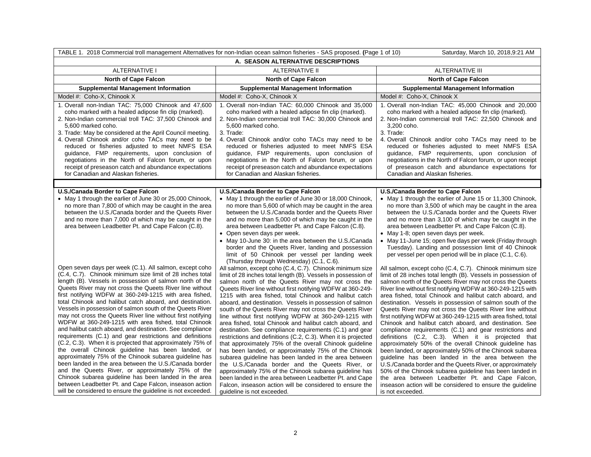| TABLE 1. 2018 Commercial troll management Alternatives for non-Indian ocean salmon fisheries - SAS proposed. (Page 1 of 10)<br>Saturday, March 10, 2018, 9:21 AM                                                                                                                                                                                                                                                                                                                                                                                                                                                                                                                                                                                                                                                                                     |                                                                                                                                                                                                                                                                                                                                                                                                                                                                                                                                                                                                                                                                                                                                                                                                                                                                                       |                                                                                                                                                                                                                                                                                                                                                                                                                                                                                                                                                                                                                                                                                                                                                                                                                                                                            |  |
|------------------------------------------------------------------------------------------------------------------------------------------------------------------------------------------------------------------------------------------------------------------------------------------------------------------------------------------------------------------------------------------------------------------------------------------------------------------------------------------------------------------------------------------------------------------------------------------------------------------------------------------------------------------------------------------------------------------------------------------------------------------------------------------------------------------------------------------------------|---------------------------------------------------------------------------------------------------------------------------------------------------------------------------------------------------------------------------------------------------------------------------------------------------------------------------------------------------------------------------------------------------------------------------------------------------------------------------------------------------------------------------------------------------------------------------------------------------------------------------------------------------------------------------------------------------------------------------------------------------------------------------------------------------------------------------------------------------------------------------------------|----------------------------------------------------------------------------------------------------------------------------------------------------------------------------------------------------------------------------------------------------------------------------------------------------------------------------------------------------------------------------------------------------------------------------------------------------------------------------------------------------------------------------------------------------------------------------------------------------------------------------------------------------------------------------------------------------------------------------------------------------------------------------------------------------------------------------------------------------------------------------|--|
| A. SEASON ALTERNATIVE DESCRIPTIONS                                                                                                                                                                                                                                                                                                                                                                                                                                                                                                                                                                                                                                                                                                                                                                                                                   |                                                                                                                                                                                                                                                                                                                                                                                                                                                                                                                                                                                                                                                                                                                                                                                                                                                                                       |                                                                                                                                                                                                                                                                                                                                                                                                                                                                                                                                                                                                                                                                                                                                                                                                                                                                            |  |
| <b>ALTERNATIVE I</b>                                                                                                                                                                                                                                                                                                                                                                                                                                                                                                                                                                                                                                                                                                                                                                                                                                 | <b>ALTERNATIVE II</b>                                                                                                                                                                                                                                                                                                                                                                                                                                                                                                                                                                                                                                                                                                                                                                                                                                                                 | <b>ALTERNATIVE III</b>                                                                                                                                                                                                                                                                                                                                                                                                                                                                                                                                                                                                                                                                                                                                                                                                                                                     |  |
| <b>North of Cape Falcon</b>                                                                                                                                                                                                                                                                                                                                                                                                                                                                                                                                                                                                                                                                                                                                                                                                                          | <b>North of Cape Falcon</b>                                                                                                                                                                                                                                                                                                                                                                                                                                                                                                                                                                                                                                                                                                                                                                                                                                                           | <b>North of Cape Falcon</b>                                                                                                                                                                                                                                                                                                                                                                                                                                                                                                                                                                                                                                                                                                                                                                                                                                                |  |
| <b>Supplemental Management Information</b>                                                                                                                                                                                                                                                                                                                                                                                                                                                                                                                                                                                                                                                                                                                                                                                                           | <b>Supplemental Management Information</b>                                                                                                                                                                                                                                                                                                                                                                                                                                                                                                                                                                                                                                                                                                                                                                                                                                            | <b>Supplemental Management Information</b>                                                                                                                                                                                                                                                                                                                                                                                                                                                                                                                                                                                                                                                                                                                                                                                                                                 |  |
| Model #: Coho-X, Chinook X                                                                                                                                                                                                                                                                                                                                                                                                                                                                                                                                                                                                                                                                                                                                                                                                                           | Model #: Coho-X, Chinook X                                                                                                                                                                                                                                                                                                                                                                                                                                                                                                                                                                                                                                                                                                                                                                                                                                                            | Model #: Coho-X, Chinook X                                                                                                                                                                                                                                                                                                                                                                                                                                                                                                                                                                                                                                                                                                                                                                                                                                                 |  |
| 1. Overall non-Indian TAC: 75,000 Chinook and 47,600<br>coho marked with a healed adipose fin clip (marked).<br>2. Non-Indian commercial troll TAC: 37,500 Chinook and<br>5.600 marked coho.<br>3. Trade: May be considered at the April Council meeting.<br>4. Overall Chinook and/or coho TACs may need to be<br>reduced or fisheries adjusted to meet NMFS ESA<br>guidance, FMP requirements, upon conclusion of<br>negotiations in the North of Falcon forum, or upon<br>receipt of preseason catch and abundance expectations<br>for Canadian and Alaskan fisheries.                                                                                                                                                                                                                                                                            | 1. Overall non-Indian TAC: 60,000 Chinook and 35,000<br>coho marked with a healed adipose fin clip (marked).<br>2. Non-Indian commercial troll TAC: 30,000 Chinook and<br>5.600 marked coho.<br>3. Trade:<br>4. Overall Chinook and/or coho TACs may need to be<br>reduced or fisheries adjusted to meet NMFS ESA<br>guidance, FMP requirements, upon conclusion of<br>negotiations in the North of Falcon forum, or upon<br>receipt of preseason catch and abundance expectations<br>for Canadian and Alaskan fisheries.                                                                                                                                                                                                                                                                                                                                                             | 1. Overall non-Indian TAC: 45,000 Chinook and 20,000<br>coho marked with a healed adipose fin clip (marked).<br>2. Non-Indian commercial troll TAC: 22,500 Chinook and<br>3.200 coho.<br>3. Trade:<br>4. Overall Chinook and/or coho TACs may need to be<br>reduced or fisheries adjusted to meet NMFS ESA<br>guidance, FMP requirements, upon conclusion of<br>negotiations in the North of Falcon forum, or upon receipt<br>of preseason catch and abundance expectations for<br>Canadian and Alaskan fisheries.                                                                                                                                                                                                                                                                                                                                                         |  |
|                                                                                                                                                                                                                                                                                                                                                                                                                                                                                                                                                                                                                                                                                                                                                                                                                                                      |                                                                                                                                                                                                                                                                                                                                                                                                                                                                                                                                                                                                                                                                                                                                                                                                                                                                                       |                                                                                                                                                                                                                                                                                                                                                                                                                                                                                                                                                                                                                                                                                                                                                                                                                                                                            |  |
| U.S./Canada Border to Cape Falcon<br>• May 1 through the earlier of June 30 or 25,000 Chinook,<br>no more than 7,800 of which may be caught in the area<br>between the U.S./Canada border and the Queets River<br>and no more than 7,000 of which may be caught in the<br>area between Leadbetter Pt. and Cape Falcon (C.8).<br>Open seven days per week (C.1). All salmon, except coho<br>(C.4, C.7). Chinook minimum size limit of 28 inches total<br>length (B). Vessels in possession of salmon north of the<br>Queets River may not cross the Queets River line without<br>first notifying WDFW at 360-249-1215 with area fished,                                                                                                                                                                                                               | U.S./Canada Border to Cape Falcon<br>• May 1 through the earlier of June 30 or 18,000 Chinook,<br>no more than 5,600 of which may be caught in the area<br>between the U.S./Canada border and the Queets River<br>and no more than 5,000 of which may be caught in the<br>area between Leadbetter Pt. and Cape Falcon (C.8).<br>• Open seven days per week.<br>• May 10-June 30: in the area between the U.S./Canada<br>border and the Queets River, landing and possession<br>limit of 50 Chinook per vessel per landing week<br>(Thursday through Wednesday) (C.1, C.6).<br>All salmon, except coho (C.4, C.7). Chinook minimum size<br>limit of 28 inches total length (B). Vessels in possession of<br>salmon north of the Queets River may not cross the<br>Queets River line without first notifying WDFW at 360-249-<br>1215 with area fished, total Chinook and halibut catch | U.S./Canada Border to Cape Falcon<br>• May 1 through the earlier of June 15 or 11,300 Chinook,<br>no more than 3,500 of which may be caught in the area<br>between the U.S./Canada border and the Queets River<br>and no more than 3,100 of which may be caught in the<br>area between Leadbetter Pt. and Cape Falcon (C.8).<br>• May 1-8; open seven days per week.<br>• May 11-June 15; open five days per week (Friday through<br>Tuesday). Landing and possession limit of 40 Chinook<br>per vessel per open period will be in place (C.1, C.6).<br>All salmon, except coho (C.4, C.7). Chinook minimum size<br>limit of 28 inches total length (B). Vessels in possession of<br>salmon north of the Queets River may not cross the Queets<br>River line without first notifying WDFW at 360-249-1215 with<br>area fished, total Chinook and halibut catch aboard, and |  |
| total Chinook and halibut catch aboard, and destination.<br>Vessels in possession of salmon south of the Queets River<br>may not cross the Queets River line without first notifying<br>WDFW at 360-249-1215 with area fished, total Chinook<br>and halibut catch aboard, and destination. See compliance<br>requirements (C.1) and gear restrictions and definitions<br>(C.2, C.3). When it is projected that approximately 75% of<br>the overall Chinook guideline has been landed, or<br>approximately 75% of the Chinook subarea guideline has<br>been landed in the area between the U.S./Canada border<br>and the Queets River, or approximately 75% of the<br>Chinook subarea guideline has been landed in the area<br>between Leadbetter Pt. and Cape Falcon, inseason action<br>will be considered to ensure the guideline is not exceeded. | aboard, and destination. Vessels in possession of salmon<br>south of the Queets River may not cross the Queets River<br>line without first notifying WDFW at 360-249-1215 with<br>area fished, total Chinook and halibut catch aboard, and<br>destination. See compliance requirements (C.1) and gear<br>restrictions and definitions (C.2, C.3). When it is projected<br>that approximately 75% of the overall Chinook guideline<br>has been landed, or approximately 75% of the Chinook<br>subarea guideline has been landed in the area between<br>the U.S./Canada border and the Queets River, or<br>approximately 75% of the Chinook subarea guideline has<br>been landed in the area between Leadbetter Pt. and Cape<br>Falcon, inseason action will be considered to ensure the<br>guideline is not exceeded.                                                                  | destination. Vessels in possession of salmon south of the<br>Queets River may not cross the Queets River line without<br>first notifying WDFW at 360-249-1215 with area fished, total<br>Chinook and halibut catch aboard, and destination. See<br>compliance requirements (C.1) and gear restrictions and<br>definitions (C.2, C.3). When it is projected that<br>approximately 50% of the overall Chinook guideline has<br>been landed, or approximately 50% of the Chinook subarea<br>guideline has been landed in the area between the<br>U.S./Canada border and the Queets River, or approximately<br>50% of the Chinook subarea guideline has been landed in<br>the area between Leadbetter Pt. and Cape Falcon,<br>inseason action will be considered to ensure the guideline<br>is not exceeded.                                                                   |  |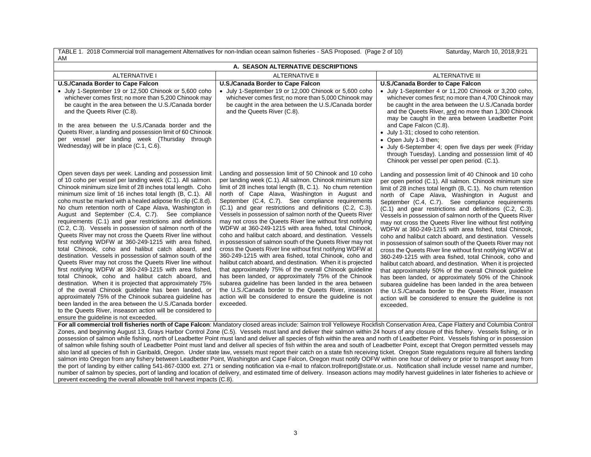| TABLE 1. 2018 Commercial troll management Alternatives for non-Indian ocean salmon fisheries - SAS Proposed. (Page 2 of 10)<br>Saturday, March 10, 2018, 9:21<br>AM                                                                                                                                                                                                                                                                                                                                                                                                                                                                                                                                                                                                                                                                                                                                                                                                                                                                                                                                                                                                                                                                                                                                                                                                                                             |                                                                                                                                                                                                                                                                                                                                                                                                                                                                                                                                                                                                                                                                                                                                                                                                                                                                                                                                                                                                                                                                                                                                                                                                                                                                                                                                                        |                                                                                                                                                                                                                                                                                                                                                                                                                                                                                                                                                                                                                                                                                                                                                                                                                                                                                                                                                                                                                                                                                                                                                                                                                                                                           |  |
|-----------------------------------------------------------------------------------------------------------------------------------------------------------------------------------------------------------------------------------------------------------------------------------------------------------------------------------------------------------------------------------------------------------------------------------------------------------------------------------------------------------------------------------------------------------------------------------------------------------------------------------------------------------------------------------------------------------------------------------------------------------------------------------------------------------------------------------------------------------------------------------------------------------------------------------------------------------------------------------------------------------------------------------------------------------------------------------------------------------------------------------------------------------------------------------------------------------------------------------------------------------------------------------------------------------------------------------------------------------------------------------------------------------------|--------------------------------------------------------------------------------------------------------------------------------------------------------------------------------------------------------------------------------------------------------------------------------------------------------------------------------------------------------------------------------------------------------------------------------------------------------------------------------------------------------------------------------------------------------------------------------------------------------------------------------------------------------------------------------------------------------------------------------------------------------------------------------------------------------------------------------------------------------------------------------------------------------------------------------------------------------------------------------------------------------------------------------------------------------------------------------------------------------------------------------------------------------------------------------------------------------------------------------------------------------------------------------------------------------------------------------------------------------|---------------------------------------------------------------------------------------------------------------------------------------------------------------------------------------------------------------------------------------------------------------------------------------------------------------------------------------------------------------------------------------------------------------------------------------------------------------------------------------------------------------------------------------------------------------------------------------------------------------------------------------------------------------------------------------------------------------------------------------------------------------------------------------------------------------------------------------------------------------------------------------------------------------------------------------------------------------------------------------------------------------------------------------------------------------------------------------------------------------------------------------------------------------------------------------------------------------------------------------------------------------------------|--|
| A. SEASON ALTERNATIVE DESCRIPTIONS                                                                                                                                                                                                                                                                                                                                                                                                                                                                                                                                                                                                                                                                                                                                                                                                                                                                                                                                                                                                                                                                                                                                                                                                                                                                                                                                                                              |                                                                                                                                                                                                                                                                                                                                                                                                                                                                                                                                                                                                                                                                                                                                                                                                                                                                                                                                                                                                                                                                                                                                                                                                                                                                                                                                                        |                                                                                                                                                                                                                                                                                                                                                                                                                                                                                                                                                                                                                                                                                                                                                                                                                                                                                                                                                                                                                                                                                                                                                                                                                                                                           |  |
| <b>ALTERNATIVE I</b>                                                                                                                                                                                                                                                                                                                                                                                                                                                                                                                                                                                                                                                                                                                                                                                                                                                                                                                                                                                                                                                                                                                                                                                                                                                                                                                                                                                            | <b>ALTERNATIVE II</b>                                                                                                                                                                                                                                                                                                                                                                                                                                                                                                                                                                                                                                                                                                                                                                                                                                                                                                                                                                                                                                                                                                                                                                                                                                                                                                                                  | <b>ALTERNATIVE III</b>                                                                                                                                                                                                                                                                                                                                                                                                                                                                                                                                                                                                                                                                                                                                                                                                                                                                                                                                                                                                                                                                                                                                                                                                                                                    |  |
| U.S./Canada Border to Cape Falcon<br>• July 1-September 19 or 12,500 Chinook or 5,600 coho<br>whichever comes first; no more than 5,200 Chinook may<br>be caught in the area between the U.S./Canada border<br>and the Queets River (C.8).<br>In the area between the U.S./Canada border and the<br>Queets River, a landing and possession limit of 60 Chinook<br>per vessel per landing week (Thursday through<br>Wednesday) will be in place (C.1, C.6).                                                                                                                                                                                                                                                                                                                                                                                                                                                                                                                                                                                                                                                                                                                                                                                                                                                                                                                                                      | U.S./Canada Border to Cape Falcon<br>July 1-September 19 or 12,000 Chinook or 5,600 coho<br>whichever comes first; no more than 5,000 Chinook may<br>be caught in the area between the U.S./Canada border<br>and the Queets River (C.8).                                                                                                                                                                                                                                                                                                                                                                                                                                                                                                                                                                                                                                                                                                                                                                                                                                                                                                                                                                                                                                                                                                               | U.S./Canada Border to Cape Falcon<br>• July 1-September 4 or 11,200 Chinook or 3,200 coho,<br>whichever comes first; no more than 4,700 Chinook may<br>be caught in the area between the U.S./Canada border<br>and the Queets River, and no more than 1,300 Chinook<br>may be caught in the area between Leadbetter Point<br>and Cape Falcon (C.8).<br>• July 1-31; closed to coho retention.<br>• Open July 1-3 then;<br>• July 6-September 4; open five days per week (Friday                                                                                                                                                                                                                                                                                                                                                                                                                                                                                                                                                                                                                                                                                                                                                                                           |  |
| Open seven days per week. Landing and possession limit<br>of 10 coho per vessel per landing week (C.1). All salmon.<br>Chinook minimum size limit of 28 inches total length. Coho<br>minimum size limit of 16 inches total length (B, C.1). All<br>coho must be marked with a healed adipose fin clip (C.8.d).<br>No chum retention north of Cape Alava, Washington in<br>August and September (C.4, C.7). See compliance<br>requirements (C.1) and gear restrictions and definitions<br>(C.2, C.3). Vessels in possession of salmon north of the<br>Queets River may not cross the Queets River line without<br>first notifying WDFW at 360-249-1215 with area fished,<br>total Chinook, coho and halibut catch aboard, and<br>destination. Vessels in possession of salmon south of the<br>Queets River may not cross the Queets River line without<br>first notifying WDFW at 360-249-1215 with area fished,<br>total Chinook, coho and halibut catch aboard, and<br>destination. When it is projected that approximately 75%<br>of the overall Chinook guideline has been landed, or<br>approximately 75% of the Chinook subarea guideline has<br>been landed in the area between the U.S./Canada border<br>to the Queets River, inseason action will be considered to<br>ensure the guideline is not exceeded.                                                                                             | Landing and possession limit of 50 Chinook and 10 coho<br>per landing week (C.1). All salmon. Chinook minimum size<br>limit of 28 inches total length (B, C.1). No chum retention<br>north of Cape Alava, Washington in August and<br>September (C.4, C.7). See compliance requirements<br>(C.1) and gear restrictions and definitions (C.2, C.3).<br>Vessels in possession of salmon north of the Queets River<br>may not cross the Queets River line without first notifying<br>WDFW at 360-249-1215 with area fished, total Chinook,<br>coho and halibut catch aboard, and destination. Vessels<br>in possession of salmon south of the Queets River may not<br>cross the Queets River line without first notifying WDFW at<br>360-249-1215 with area fished, total Chinook, coho and<br>halibut catch aboard, and destination. When it is projected<br>that approximately 75% of the overall Chinook quideline<br>has been landed, or approximately 75% of the Chinook<br>subarea quideline has been landed in the area between<br>the U.S./Canada border to the Queets River, inseason<br>action will be considered to ensure the guideline is not<br>exceeded.<br>For all commercial troll fisheries north of Cape Falcon: Mandatory closed areas include: Salmon troll Yelloweye Rockfish Conservation Area, Cape Flattery and Columbia Control | through Tuesday). Landing and possession limit of 40<br>Chinook per vessel per open period. (C.1).<br>Landing and possession limit of 40 Chinook and 10 coho<br>per open period (C.1). All salmon. Chinook minimum size<br>limit of 28 inches total length (B, C.1). No chum retention<br>north of Cape Alava, Washington in August and<br>September (C.4, C.7). See compliance requirements<br>(C.1) and gear restrictions and definitions (C.2, C.3).<br>Vessels in possession of salmon north of the Queets River<br>may not cross the Queets River line without first notifying<br>WDFW at 360-249-1215 with area fished, total Chinook,<br>coho and halibut catch aboard, and destination. Vessels<br>in possession of salmon south of the Queets River may not<br>cross the Queets River line without first notifying WDFW at<br>360-249-1215 with area fished, total Chinook, coho and<br>halibut catch aboard, and destination. When it is projected<br>that approximately 50% of the overall Chinook quideline<br>has been landed, or approximately 50% of the Chinook<br>subarea guideline has been landed in the area between<br>the U.S./Canada border to the Queets River, inseason<br>action will be considered to ensure the guideline is not<br>exceeded. |  |
| Zones, and beginning August 13, Grays Harbor Control Zone (C.5). Vessels must land and deliver their salmon within 24 hours of any closure of this fishery. Vessels fishing, or in<br>possession of salmon while fishing, north of Leadbetter Point must land and deliver all species of fish within the area and north of Leadbetter Point. Vessels fishing or in possession<br>of salmon while fishing south of Leadbetter Point must land and deliver all species of fish within the area and south of Leadbetter Point, except that Oregon permitted vessels may<br>also land all species of fish in Garibaldi, Oregon. Under state law, vessels must report their catch on a state fish receiving ticket. Oregon State regulations require all fishers landing<br>salmon into Oregon from any fishery between Leadbetter Point, Washington and Cape Falcon, Oregon must notify ODFW within one hour of delivery or prior to transport away from<br>the port of landing by either calling 541-867-0300 ext. 271 or sending notification via e-mail to nfalcon.trollreport@state.or.us. Notification shall include vessel name and number,<br>number of salmon by species, port of landing and location of delivery, and estimated time of delivery. Inseason actions may modify harvest guidelines in later fisheries to achieve or<br>prevent exceeding the overall allowable troll harvest impacts (C.8). |                                                                                                                                                                                                                                                                                                                                                                                                                                                                                                                                                                                                                                                                                                                                                                                                                                                                                                                                                                                                                                                                                                                                                                                                                                                                                                                                                        |                                                                                                                                                                                                                                                                                                                                                                                                                                                                                                                                                                                                                                                                                                                                                                                                                                                                                                                                                                                                                                                                                                                                                                                                                                                                           |  |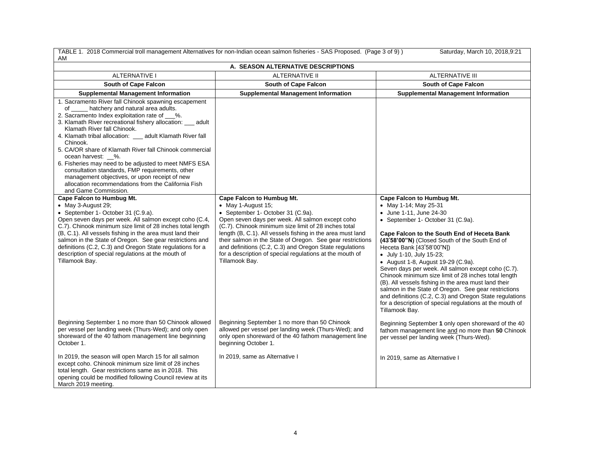| TABLE 1. 2018 Commercial troll management Alternatives for non-Indian ocean salmon fisheries - SAS Proposed. (Page 3 of 9))<br>Saturday, March 10, 2018, 9:21<br>AM                                                                                                                                                                                                                                                                                                                                                                                                                                                                                                                                                                                                                                                                                                                                                                                                                                                                                                                                                                     |                                                                                                                                                                                                                                                                                                                                                                                                                                                                       |                                                                                                                                                                                                                                                                                                                                                                                                                                                                                                                                                                                                                                                                                           |  |
|-----------------------------------------------------------------------------------------------------------------------------------------------------------------------------------------------------------------------------------------------------------------------------------------------------------------------------------------------------------------------------------------------------------------------------------------------------------------------------------------------------------------------------------------------------------------------------------------------------------------------------------------------------------------------------------------------------------------------------------------------------------------------------------------------------------------------------------------------------------------------------------------------------------------------------------------------------------------------------------------------------------------------------------------------------------------------------------------------------------------------------------------|-----------------------------------------------------------------------------------------------------------------------------------------------------------------------------------------------------------------------------------------------------------------------------------------------------------------------------------------------------------------------------------------------------------------------------------------------------------------------|-------------------------------------------------------------------------------------------------------------------------------------------------------------------------------------------------------------------------------------------------------------------------------------------------------------------------------------------------------------------------------------------------------------------------------------------------------------------------------------------------------------------------------------------------------------------------------------------------------------------------------------------------------------------------------------------|--|
| A. SEASON ALTERNATIVE DESCRIPTIONS                                                                                                                                                                                                                                                                                                                                                                                                                                                                                                                                                                                                                                                                                                                                                                                                                                                                                                                                                                                                                                                                                                      |                                                                                                                                                                                                                                                                                                                                                                                                                                                                       |                                                                                                                                                                                                                                                                                                                                                                                                                                                                                                                                                                                                                                                                                           |  |
| <b>ALTERNATIVE I</b><br><b>ALTERNATIVE II</b><br><b>ALTERNATIVE III</b>                                                                                                                                                                                                                                                                                                                                                                                                                                                                                                                                                                                                                                                                                                                                                                                                                                                                                                                                                                                                                                                                 |                                                                                                                                                                                                                                                                                                                                                                                                                                                                       |                                                                                                                                                                                                                                                                                                                                                                                                                                                                                                                                                                                                                                                                                           |  |
| <b>South of Cape Falcon</b>                                                                                                                                                                                                                                                                                                                                                                                                                                                                                                                                                                                                                                                                                                                                                                                                                                                                                                                                                                                                                                                                                                             | <b>South of Cape Falcon</b>                                                                                                                                                                                                                                                                                                                                                                                                                                           | <b>South of Cape Falcon</b>                                                                                                                                                                                                                                                                                                                                                                                                                                                                                                                                                                                                                                                               |  |
| <b>Supplemental Management Information</b>                                                                                                                                                                                                                                                                                                                                                                                                                                                                                                                                                                                                                                                                                                                                                                                                                                                                                                                                                                                                                                                                                              | <b>Supplemental Management Information</b>                                                                                                                                                                                                                                                                                                                                                                                                                            | <b>Supplemental Management Information</b>                                                                                                                                                                                                                                                                                                                                                                                                                                                                                                                                                                                                                                                |  |
| 1. Sacramento River fall Chinook spawning escapement<br>of hatchery and natural area adults.<br>2. Sacramento Index exploitation rate of ___%.<br>3. Klamath River recreational fishery allocation: __ adult<br>Klamath River fall Chinook.<br>4. Klamath tribal allocation: __ adult Klamath River fall<br>Chinook.<br>5. CA/OR share of Klamath River fall Chinook commercial<br>ocean harvest: 4%.<br>6. Fisheries may need to be adjusted to meet NMFS ESA<br>consultation standards, FMP requirements, other<br>management objectives, or upon receipt of new<br>allocation recommendations from the California Fish<br>and Game Commission.<br><b>Cape Falcon to Humbug Mt.</b><br>• May 3-August 29;<br>• September 1- October 31 (C.9.a).<br>Open seven days per week. All salmon except coho (C.4,<br>C.7). Chinook minimum size limit of 28 inches total length<br>(B, C.1). All vessels fishing in the area must land their<br>salmon in the State of Oregon. See gear restrictions and<br>definitions (C.2, C.3) and Oregon State regulations for a<br>description of special regulations at the mouth of<br>Tillamook Bay. | Cape Falcon to Humbug Mt.<br>• May 1-August 15;<br>• September 1- October 31 (C.9a).<br>Open seven days per week. All salmon except coho<br>(C.7). Chinook minimum size limit of 28 inches total<br>length (B, C.1). All vessels fishing in the area must land<br>their salmon in the State of Oregon. See gear restrictions<br>and definitions (C.2, C.3) and Oregon State regulations<br>for a description of special regulations at the mouth of<br>Tillamook Bay. | Cape Falcon to Humbug Mt.<br>• May 1-14; May 25-31<br>• June 1-11, June 24-30<br>• September 1- October 31 (C.9a).<br>Cape Falcon to the South End of Heceta Bank<br>(43°58'00"N) (Closed South of the South End of<br>Heceta Bank [43°58'00"N])<br>• July 1-10, July 15-23;<br>• August 1-8, August 19-29 (C.9a).<br>Seven days per week. All salmon except coho (C.7).<br>Chinook minimum size limit of 28 inches total length<br>(B). All vessels fishing in the area must land their<br>salmon in the State of Oregon. See gear restrictions<br>and definitions (C.2, C.3) and Oregon State regulations<br>for a description of special regulations at the mouth of<br>Tillamook Bay. |  |
| Beginning September 1 no more than 50 Chinook allowed<br>per vessel per landing week (Thurs-Wed); and only open<br>shoreward of the 40 fathom management line beginning<br>October 1.                                                                                                                                                                                                                                                                                                                                                                                                                                                                                                                                                                                                                                                                                                                                                                                                                                                                                                                                                   | Beginning September 1 no more than 50 Chinook<br>allowed per vessel per landing week (Thurs-Wed); and<br>only open shoreward of the 40 fathom management line<br>beginning October 1.                                                                                                                                                                                                                                                                                 | Beginning September 1 only open shoreward of the 40<br>fathom management line and no more than 50 Chinook<br>per vessel per landing week (Thurs-Wed).                                                                                                                                                                                                                                                                                                                                                                                                                                                                                                                                     |  |
| In 2019, the season will open March 15 for all salmon<br>except coho. Chinook minimum size limit of 28 inches<br>total length. Gear restrictions same as in 2018. This<br>opening could be modified following Council review at its<br>March 2019 meeting.                                                                                                                                                                                                                                                                                                                                                                                                                                                                                                                                                                                                                                                                                                                                                                                                                                                                              | In 2019, same as Alternative I                                                                                                                                                                                                                                                                                                                                                                                                                                        | In 2019, same as Alternative I                                                                                                                                                                                                                                                                                                                                                                                                                                                                                                                                                                                                                                                            |  |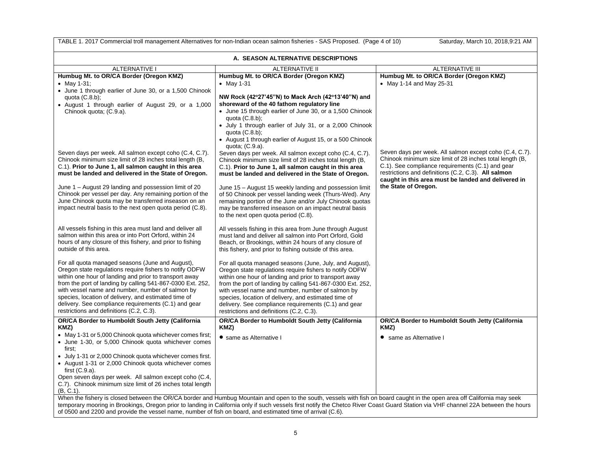| TABLE 1. 2017 Commercial troll management Alternatives for non-Indian ocean salmon fisheries - SAS Proposed. (Page 4 of 10)<br>Saturday, March 10, 2018, 9:21 AM                                                                                                                                                                                                                                                                                                               |                                                                                                                                                                                                                                                                                                                                                                                                                                                            |                                                                                                                                                                                                                                                                                       |  |
|--------------------------------------------------------------------------------------------------------------------------------------------------------------------------------------------------------------------------------------------------------------------------------------------------------------------------------------------------------------------------------------------------------------------------------------------------------------------------------|------------------------------------------------------------------------------------------------------------------------------------------------------------------------------------------------------------------------------------------------------------------------------------------------------------------------------------------------------------------------------------------------------------------------------------------------------------|---------------------------------------------------------------------------------------------------------------------------------------------------------------------------------------------------------------------------------------------------------------------------------------|--|
| A. SEASON ALTERNATIVE DESCRIPTIONS                                                                                                                                                                                                                                                                                                                                                                                                                                             |                                                                                                                                                                                                                                                                                                                                                                                                                                                            |                                                                                                                                                                                                                                                                                       |  |
| <b>ALTERNATIVE I</b>                                                                                                                                                                                                                                                                                                                                                                                                                                                           | <b>ALTERNATIVE II</b>                                                                                                                                                                                                                                                                                                                                                                                                                                      | <b>ALTERNATIVE III</b>                                                                                                                                                                                                                                                                |  |
| Humbug Mt. to OR/CA Border (Oregon KMZ)<br>• May 1-31;<br>• June 1 through earlier of June 30, or a 1,500 Chinook<br>quota $(C.8.b)$ ;<br>• August 1 through earlier of August 29, or a 1,000<br>Chinook quota; (C.9.a).                                                                                                                                                                                                                                                       | Humbug Mt. to OR/CA Border (Oregon KMZ)<br>$•$ May 1-31<br>NW Rock (42°27'45"N) to Mack Arch (42°13'40"N) and<br>shoreward of the 40 fathom regulatory line<br>• June 15 through earlier of June 30, or a 1,500 Chinook<br>quota $(C.8.b)$ ;<br>• July 1 through earlier of July 31, or a 2,000 Chinook<br>quota $(C.8.b)$ ;<br>• August 1 through earlier of August 15, or a 500 Chinook<br>quota; (C.9.a).                                               | Humbug Mt. to OR/CA Border (Oregon KMZ)<br>• May 1-14 and May 25-31                                                                                                                                                                                                                   |  |
| Seven days per week. All salmon except coho (C.4, C.7).<br>Chinook minimum size limit of 28 inches total length (B,<br>C.1). Prior to June 1, all salmon caught in this area<br>must be landed and delivered in the State of Oregon.                                                                                                                                                                                                                                           | Seven days per week. All salmon except coho (C.4, C.7).<br>Chinook minimum size limit of 28 inches total length (B,<br>C.1). Prior to June 1, all salmon caught in this area<br>must be landed and delivered in the State of Oregon.                                                                                                                                                                                                                       | Seven days per week. All salmon except coho (C.4, C.7).<br>Chinook minimum size limit of 28 inches total length (B,<br>C.1). See compliance requirements (C.1) and gear<br>restrictions and definitions (C.2, C.3). All salmon<br>caught in this area must be landed and delivered in |  |
| June 1 - August 29 landing and possession limit of 20<br>Chinook per vessel per day. Any remaining portion of the<br>June Chinook quota may be transferred inseason on an<br>impact neutral basis to the next open quota period (C.8).                                                                                                                                                                                                                                         | June 15 - August 15 weekly landing and possession limit<br>of 50 Chinook per vessel landing week (Thurs-Wed). Any<br>remaining portion of the June and/or July Chinook quotas<br>may be transferred inseason on an impact neutral basis<br>to the next open quota period (C.8).                                                                                                                                                                            | the State of Oregon.                                                                                                                                                                                                                                                                  |  |
| All vessels fishing in this area must land and deliver all<br>salmon within this area or into Port Orford, within 24<br>hours of any closure of this fishery, and prior to fishing<br>outside of this area.                                                                                                                                                                                                                                                                    | All vessels fishing in this area from June through August<br>must land and deliver all salmon into Port Orford, Gold<br>Beach, or Brookings, within 24 hours of any closure of<br>this fishery, and prior to fishing outside of this area.                                                                                                                                                                                                                 |                                                                                                                                                                                                                                                                                       |  |
| For all quota managed seasons (June and August),<br>Oregon state regulations require fishers to notify ODFW<br>within one hour of landing and prior to transport away<br>from the port of landing by calling 541-867-0300 Ext. 252,<br>with vessel name and number, number of salmon by<br>species, location of delivery, and estimated time of<br>delivery. See compliance requirements (C.1) and gear<br>restrictions and definitions (C.2, C.3).                            | For all quota managed seasons (June, July, and August),<br>Oregon state regulations require fishers to notify ODFW<br>within one hour of landing and prior to transport away<br>from the port of landing by calling 541-867-0300 Ext. 252,<br>with vessel name and number, number of salmon by<br>species, location of delivery, and estimated time of<br>delivery. See compliance requirements (C.1) and gear<br>restrictions and definitions (C.2, C.3). |                                                                                                                                                                                                                                                                                       |  |
| OR/CA Border to Humboldt South Jetty (California                                                                                                                                                                                                                                                                                                                                                                                                                               | OR/CA Border to Humboldt South Jetty (California                                                                                                                                                                                                                                                                                                                                                                                                           | OR/CA Border to Humboldt South Jetty (California                                                                                                                                                                                                                                      |  |
| KMZ)<br>• May 1-31 or 5,000 Chinook quota whichever comes first;<br>• June 1-30, or 5,000 Chinook quota whichever comes<br>first;<br>• July 1-31 or 2,000 Chinook quota whichever comes first.<br>• August 1-31 or 2,000 Chinook quota whichever comes<br>first $(C.9.a)$ .<br>Open seven days per week. All salmon except coho (C.4,<br>C.7). Chinook minimum size limit of 26 inches total length<br>$(B, C.1)$ .                                                            | KMZ)<br>• same as Alternative I                                                                                                                                                                                                                                                                                                                                                                                                                            | KMZ)<br>• same as Alternative I                                                                                                                                                                                                                                                       |  |
| When the fishery is closed between the OR/CA border and Humbug Mountain and open to the south, vessels with fish on board caught in the open area off California may seek<br>temporary mooring in Brookings, Oregon prior to landing in California only if such vessels first notify the Chetco River Coast Guard Station via VHF channel 22A between the hours<br>of 0500 and 2200 and provide the vessel name, number of fish on board, and estimated time of arrival (C.6). |                                                                                                                                                                                                                                                                                                                                                                                                                                                            |                                                                                                                                                                                                                                                                                       |  |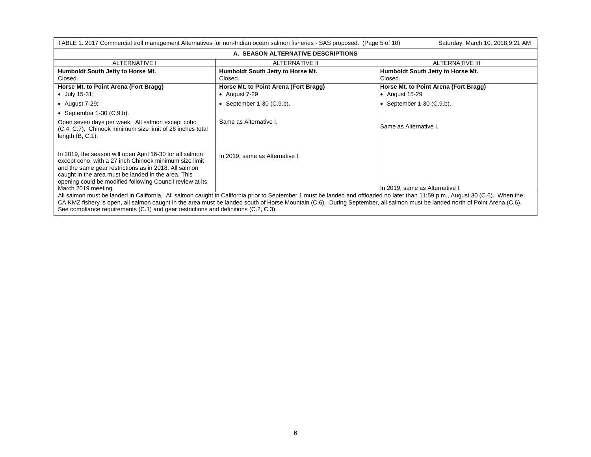| TABLE 1. 2017 Commercial troll management Alternatives for non-Indian ocean salmon fisheries - SAS proposed. (Page 5 of 10)<br>Saturday, March 10, 2018, 9:21 AM                                                                                                                                                                                                                                                                                     |                                                          |                                                           |  |  |
|------------------------------------------------------------------------------------------------------------------------------------------------------------------------------------------------------------------------------------------------------------------------------------------------------------------------------------------------------------------------------------------------------------------------------------------------------|----------------------------------------------------------|-----------------------------------------------------------|--|--|
| A. SEASON ALTERNATIVE DESCRIPTIONS                                                                                                                                                                                                                                                                                                                                                                                                                   |                                                          |                                                           |  |  |
| <b>ALTERNATIVE I</b>                                                                                                                                                                                                                                                                                                                                                                                                                                 | ALTERNATIVE II<br><b>ALTERNATIVE III</b>                 |                                                           |  |  |
| Humboldt South Jetty to Horse Mt.<br>Closed.                                                                                                                                                                                                                                                                                                                                                                                                         | Humboldt South Jetty to Horse Mt.<br>Closed.             | Humboldt South Jetty to Horse Mt.<br>Closed.              |  |  |
| Horse Mt. to Point Arena (Fort Bragg)<br>$\bullet$ July 15-31;                                                                                                                                                                                                                                                                                                                                                                                       | Horse Mt. to Point Arena (Fort Bragg)<br>• August $7-29$ | Horse Mt. to Point Arena (Fort Bragg)<br>• August $15-29$ |  |  |
| • August $7-29$ ;                                                                                                                                                                                                                                                                                                                                                                                                                                    | • September $1-30$ (C.9.b).                              | • September $1-30$ (C.9.b).                               |  |  |
| • September $1-30$ (C.9.b).                                                                                                                                                                                                                                                                                                                                                                                                                          |                                                          |                                                           |  |  |
| Open seven days per week. All salmon except coho<br>(C.4, C.7). Chinook minimum size limit of 26 inches total<br>length $(B, C.1)$ .                                                                                                                                                                                                                                                                                                                 | Same as Alternative I.                                   | Same as Alternative I.                                    |  |  |
| In 2019, the season will open April 16-30 for all salmon<br>In 2019, same as Alternative I.<br>except coho, with a 27 inch Chinook minimum size limit<br>and the same gear restrictions as in 2018. All salmon<br>caught in the area must be landed in the area. This<br>opening could be modified following Council review at its<br>In 2019, same as Alternative I.<br>March 2019 meeting.                                                         |                                                          |                                                           |  |  |
| All salmon must be landed in California. All salmon caught in California prior to September 1 must be landed and offloaded no later than 11:59 p.m., August 30 (C.6). When the<br>CA KMZ fishery is open, all salmon caught in the area must be landed south of Horse Mountain (C.6). During September, all salmon must be landed north of Point Arena (C.6).<br>See compliance requirements (C.1) and gear restrictions and definitions (C.2, C.3). |                                                          |                                                           |  |  |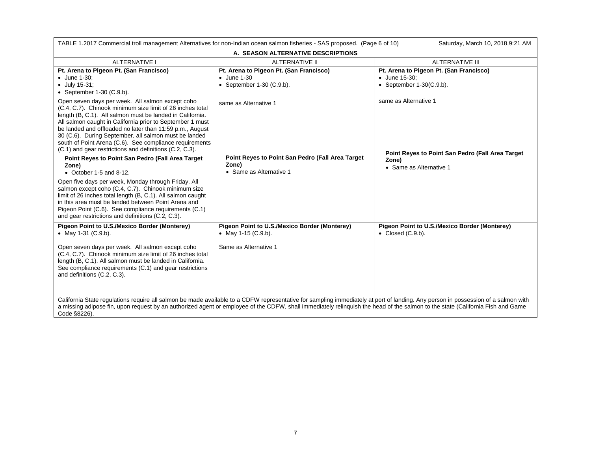| TABLE 1.2017 Commercial troll management Alternatives for non-Indian ocean salmon fisheries - SAS proposed. (Page 6 of 10)<br>Saturday, March 10, 2018,9:21 AM                                                                                                                                                                                                                                                                                                                                                                                                                                                                                                                                                                                                                                                                                                                                                                       |                                                                                                               |                                                                                                               |  |  |
|--------------------------------------------------------------------------------------------------------------------------------------------------------------------------------------------------------------------------------------------------------------------------------------------------------------------------------------------------------------------------------------------------------------------------------------------------------------------------------------------------------------------------------------------------------------------------------------------------------------------------------------------------------------------------------------------------------------------------------------------------------------------------------------------------------------------------------------------------------------------------------------------------------------------------------------|---------------------------------------------------------------------------------------------------------------|---------------------------------------------------------------------------------------------------------------|--|--|
| A. SEASON ALTERNATIVE DESCRIPTIONS                                                                                                                                                                                                                                                                                                                                                                                                                                                                                                                                                                                                                                                                                                                                                                                                                                                                                                   |                                                                                                               |                                                                                                               |  |  |
| <b>ALTERNATIVE I</b>                                                                                                                                                                                                                                                                                                                                                                                                                                                                                                                                                                                                                                                                                                                                                                                                                                                                                                                 | <b>ALTERNATIVE II</b>                                                                                         | <b>ALTERNATIVE III</b>                                                                                        |  |  |
| Pt. Arena to Pigeon Pt. (San Francisco)<br>$\bullet$ June 1-30;<br>$\bullet$ July 15-31;<br>• September $1-30$ (C.9.b).                                                                                                                                                                                                                                                                                                                                                                                                                                                                                                                                                                                                                                                                                                                                                                                                              | Pt. Arena to Pigeon Pt. (San Francisco)<br>$\bullet$ June 1-30<br>• September $1-30$ (C.9.b).                 | Pt. Arena to Pigeon Pt. (San Francisco)<br>• June 15-30;<br>• September $1-30(C.9.b)$ .                       |  |  |
| Open seven days per week. All salmon except coho<br>(C.4, C.7). Chinook minimum size limit of 26 inches total<br>length (B, C.1). All salmon must be landed in California.<br>All salmon caught in California prior to September 1 must<br>be landed and offloaded no later than 11:59 p.m., August<br>30 (C.6). During September, all salmon must be landed<br>south of Point Arena (C.6). See compliance requirements<br>(C.1) and gear restrictions and definitions (C.2, C.3).<br>Point Reyes to Point San Pedro (Fall Area Target<br>Zone)<br>$\bullet$ October 1-5 and 8-12.<br>Open five days per week, Monday through Friday. All<br>salmon except coho (C.4, C.7). Chinook minimum size<br>limit of 26 inches total length (B, C.1). All salmon caught<br>in this area must be landed between Point Arena and<br>Pigeon Point (C.6). See compliance requirements (C.1)<br>and gear restrictions and definitions (C.2, C.3). | same as Alternative 1<br>Point Reyes to Point San Pedro (Fall Area Target<br>Zone)<br>• Same as Alternative 1 | same as Alternative 1<br>Point Reyes to Point San Pedro (Fall Area Target<br>Zone)<br>• Same as Alternative 1 |  |  |
| Pigeon Point to U.S./Mexico Border (Monterey)<br>• May 1-31 $(C.9.b)$ .<br>Open seven days per week. All salmon except coho<br>(C.4, C.7). Chinook minimum size limit of 26 inches total<br>length (B, C.1). All salmon must be landed in California.<br>See compliance requirements (C.1) and gear restrictions<br>and definitions (C.2, C.3).                                                                                                                                                                                                                                                                                                                                                                                                                                                                                                                                                                                      | Pigeon Point to U.S./Mexico Border (Monterey)<br>• May 1-15 (C.9.b).<br>Same as Alternative 1                 | Pigeon Point to U.S./Mexico Border (Monterey)<br>$\bullet$ Closed (C.9.b).                                    |  |  |
| California State regulations require all salmon be made available to a CDFW representative for sampling immediately at port of landing. Any person in possession of a salmon with<br>a missing adipose fin, upon request by an authorized agent or employee of the CDFW, shall immediately relinquish the head of the salmon to the state (California Fish and Game<br>Code §8226).                                                                                                                                                                                                                                                                                                                                                                                                                                                                                                                                                  |                                                                                                               |                                                                                                               |  |  |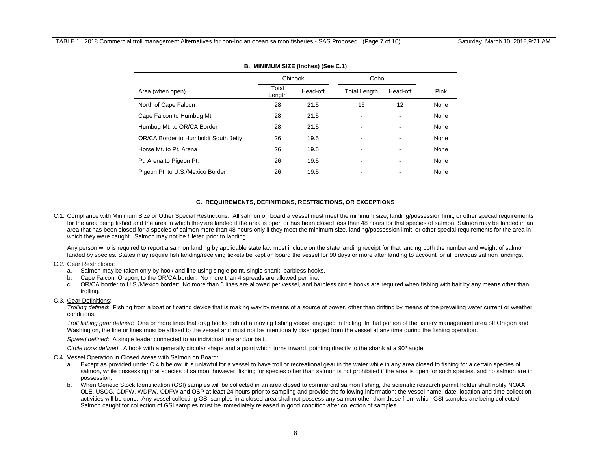|                                      | Chinook         |          | Coho                     |          |      |
|--------------------------------------|-----------------|----------|--------------------------|----------|------|
| Area (when open)                     | Total<br>Length | Head-off | <b>Total Length</b>      | Head-off | Pink |
| North of Cape Falcon                 | 28              | 21.5     | 16                       | 12       | None |
| Cape Falcon to Humbug Mt.            | 28              | 21.5     |                          |          | None |
| Humbug Mt. to OR/CA Border           | 28              | 21.5     |                          | -        | None |
| OR/CA Border to Humboldt South Jetty | 26              | 19.5     |                          |          | None |
| Horse Mt. to Pt. Arena               | 26              | 19.5     |                          |          | None |
| Pt. Arena to Pigeon Pt.              | 26              | 19.5     | $\overline{\phantom{0}}$ | ۰.       | None |
| Pigeon Pt. to U.S./Mexico Border     | 26              | 19.5     |                          |          | None |

## **B. MINIMUM SIZE (Inches) (See C.1)**

## **C. REQUIREMENTS, DEFINITIONS, RESTRICTIONS, OR EXCEPTIONS**

C.1. Compliance with Minimum Size or Other Special Restrictions: All salmon on board a vessel must meet the minimum size, landing/possession limit, or other special requirements for the area being fished and the area in which they are landed if the area is open or has been closed less than 48 hours for that species of salmon. Salmon may be landed in an area that has been closed for a species of salmon more than 48 hours only if they meet the minimum size, landing/possession limit, or other special requirements for the area in which they were caught. Salmon may not be filleted prior to landing.

Any person who is required to report a salmon landing by applicable state law must include on the state landing receipt for that landing both the number and weight of salmon landed by species. States may require fish landing/receiving tickets be kept on board the vessel for 90 days or more after landing to account for all previous salmon landings.

#### C.2. Gear Restrictions:

- a. Salmon may be taken only by hook and line using single point, single shank, barbless hooks.
- b. Cape Falcon, Oregon, to the OR/CA border: No more than 4 spreads are allowed per line.
- c. OR/CA border to U.S./Mexico border: No more than 6 lines are allowed per vessel, and barbless circle hooks are required when fishing with bait by any means other than trolling.

# C.3. Gear Definitions:

*Trolling defined*: Fishing from a boat or floating device that is making way by means of a source of power, other than drifting by means of the prevailing water current or weather conditions.

*Troll fishing gear defined*: One or more lines that drag hooks behind a moving fishing vessel engaged in trolling. In that portion of the fishery management area off Oregon and Washington, the line or lines must be affixed to the vessel and must not be intentionally disengaged from the vessel at any time during the fishing operation.

*Spread defined*: A single leader connected to an individual lure and/or bait.

*Circle hook defined*: A hook with a generally circular shape and a point which turns inward, pointing directly to the shank at a 90º angle.

#### C.4. Vessel Operation in Closed Areas with Salmon on Board:

- a. Except as provided under C.4.b below, it is unlawful for a vessel to have troll or recreational gear in the water while in any area closed to fishing for a certain species of salmon, while possessing that species of salmon; however, fishing for species other than salmon is not prohibited if the area is open for such species, and no salmon are in possession.
- b. When Genetic Stock Identification (GSI) samples will be collected in an area closed to commercial salmon fishing, the scientific research permit holder shall notify NOAA OLE, USCG, CDFW, WDFW, ODFW and OSP at least 24 hours prior to sampling and provide the following information: the vessel name, date, location and time collection activities will be done. Any vessel collecting GSI samples in a closed area shall not possess any salmon other than those from which GSI samples are being collected. Salmon caught for collection of GSI samples must be immediately released in good condition after collection of samples.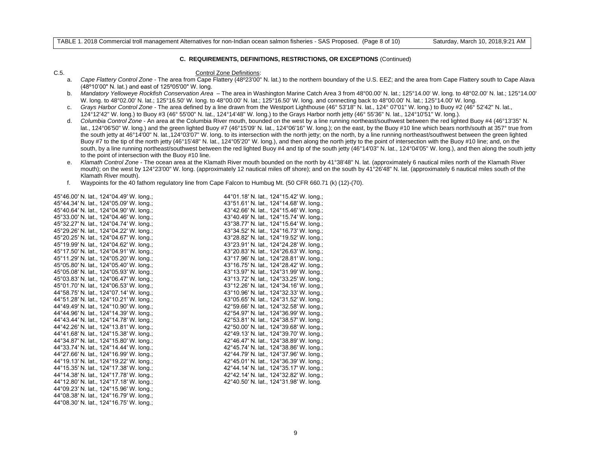#### **C. REQUIREMENTS, DEFINITIONS, RESTRICTIONS, OR EXCEPTIONS** (Continued)

#### C.5. Control Zone Definitions:

- a. *Cape Flattery Control Zone*  The area from Cape Flattery (48º23'00" N. lat.) to the northern boundary of the U.S. EEZ; and the area from Cape Flattery south to Cape Alava (48º10'00" N. lat.) and east of 125º05'00" W. long.
- b. *Mandatory Yelloweye Rockfish Conservation Area* The area in Washington Marine Catch Area 3 from 48°00.00' N. lat.; 125°14.00' W. long. to 48°02.00' N. lat.; 125°14.00' W. long. to 48°02.00' N. lat.; 125°16.50' W. long. to 48°00.00' N. lat.; 125°16.50' W. long. and connecting back to 48°00.00' N. lat.; 125°14.00' W. long.
- c. *Grays Harbor Control Zone* The area defined by a line drawn from the Westport Lighthouse (46° 53'18" N. lat., 124° 07'01" W. long.) to Buoy #2 (46° 52'42" N. lat., 124°12'42" W. long.) to Buoy #3 (46° 55'00" N. lat., 124°14'48" W. long.) to the Grays Harbor north jetty (46° 55'36" N. lat., 124°10'51" W. long.).
- d. *Columbia Control Zone* An area at the Columbia River mouth, bounded on the west by a line running northeast/southwest between the red lighted Buoy #4 (46°13'35" N. lat., 124°06'50" W. long.) and the green lighted Buoy #7 (46°15'09' N. lat., 124°06'16" W. long.); on the east, by the Buoy #10 line which bears north/south at 357° true from the south jetty at 46°14'00" N. lat.,124°03'07" W. long. to its intersection with the north jetty; on the north, by a line running northeast/southwest between the green lighted Buoy #7 to the tip of the north jetty (46°15'48" N. lat., 124°05'20" W. long.), and then along the north jetty to the point of intersection with the Buoy #10 line; and, on the south, by a line running northeast/southwest between the red lighted Buoy #4 and tip of the south jetty (46°14'03" N. lat., 124°04'05" W. long.), and then along the south jetty to the point of intersection with the Buoy #10 line.
- e. *Klamath Control Zone* The ocean area at the Klamath River mouth bounded on the north by 41°38'48" N. lat. (approximately 6 nautical miles north of the Klamath River mouth); on the west by 124°23'00" W. long. (approximately 12 nautical miles off shore); and on the south by 41°26'48" N. lat. (approximately 6 nautical miles south of the Klamath River mouth).
- f. Waypoints for the 40 fathom regulatory line from Cape Falcon to Humbug Mt. (50 CFR 660.71 (k) (12)-(70).

| 45°46.00' N. lat., 124°04.49' W. long.; | 44°01.18' N. lat., 124°15.42' W. long.; |
|-----------------------------------------|-----------------------------------------|
| 45°44.34' N. lat., 124°05.09' W. long.; | 43°51.61' N. lat., 124°14.68' W. long.; |
| 45°40.64' N. lat., 124°04.90' W. long.; | 43°42.66' N. lat., 124°15.46' W. long.; |
| 45°33.00' N. lat., 124°04.46' W. long.: | 43°40.49' N. lat., 124°15.74' W. long.; |
| 45°32.27' N. lat., 124°04.74' W. long.; | 43°38.77' N. lat., 124°15.64' W. long.; |
| 45°29.26' N. lat., 124°04.22' W. long.; | 43°34.52' N. lat., 124°16.73' W. long.; |
| 45°20.25' N. lat., 124°04.67' W. long.; | 43°28.82' N. lat., 124°19.52' W. long.; |
| 45°19.99' N. lat., 124°04.62' W. long.; | 43°23.91' N. lat., 124°24.28' W. long.; |
| 45°17.50' N. lat., 124°04.91' W. long.; | 43°20.83' N. lat., 124°26.63' W. long.; |
| 45°11.29' N. lat., 124°05.20' W. long.; | 43°17.96' N. lat., 124°28.81' W. long.; |
| 45°05.80' N. lat., 124°05.40' W. long.; | 43°16.75' N. lat., 124°28.42' W. long.; |
| 45°05.08' N. lat., 124°05.93' W. long.; | 43°13.97' N. lat., 124°31.99' W. long.; |
| 45°03.83' N. lat., 124°06.47' W. long.; | 43°13.72' N. lat., 124°33.25' W. long.; |
| 45°01.70' N. lat., 124°06.53' W. long.; | 43°12.26' N. lat., 124°34.16' W. long.; |
| 44°58.75' N. lat., 124°07.14' W. long.; | 43°10.96' N. lat., 124°32.33' W. long.; |
| 44°51.28' N. lat., 124°10.21' W. long.; | 43°05.65' N. lat., 124°31.52' W. long.; |
| 44°49.49' N. lat., 124°10.90' W. long.; | 42°59.66' N. lat., 124°32.58' W. long.; |
| 44°44.96' N. lat., 124°14.39' W. long.; | 42°54.97' N. lat., 124°36.99' W. long.; |
| 44°43.44' N. lat., 124°14.78' W. long.: | 42°53.81' N. lat., 124°38.57' W. long.: |
| 44°42.26' N. lat., 124°13.81' W. long.; | 42°50.00' N. lat., 124°39.68' W. long.; |
| 44°41.68' N. lat., 124°15.38' W. long.; | 42°49.13' N. lat., 124°39.70' W. long.; |
| 44°34.87' N. lat., 124°15.80' W. long.; | 42°46.47' N. lat., 124°38.89' W. long.; |
| 44°33.74' N. lat., 124°14.44' W. long.; | 42°45.74' N. lat., 124°38.86' W. long.; |
| 44°27.66' N. lat., 124°16.99' W. long.; | 42°44.79' N. lat., 124°37.96' W. long.; |
| 44°19.13' N. lat., 124°19.22' W. long.; | 42°45.01' N. lat., 124°36.39' W. long.; |
| 44°15.35' N. lat., 124°17.38' W. long.; | 42°44.14' N. lat., 124°35.17' W. long.; |
| 44°14.38' N. lat., 124°17.78' W. long.; | 42°42.14' N. lat., 124°32.82' W. long.; |
| 44°12.80' N. lat., 124°17.18' W. long.; | 42°40.50' N. lat., 124°31.98' W. long.  |
| 44°09.23' N. lat., 124°15.96' W. long.; |                                         |
| 44°08.38' N. lat., 124°16.79' W. long.; |                                         |
| 44°08.30' N. lat., 124°16.75' W. long.; |                                         |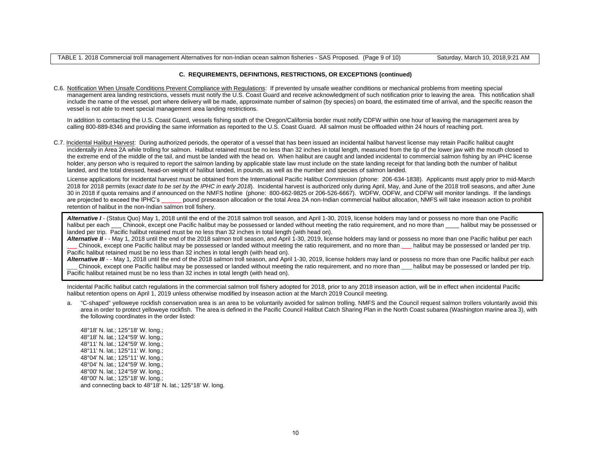## **C. REQUIREMENTS, DEFINITIONS, RESTRICTIONS, OR EXCEPTIONS (continued)**

C.6. Notification When Unsafe Conditions Prevent Compliance with Regulations: If prevented by unsafe weather conditions or mechanical problems from meeting special management area landing restrictions, vessels must notify the U.S. Coast Guard and receive acknowledgment of such notification prior to leaving the area. This notification shall include the name of the vessel, port where delivery will be made, approximate number of salmon (by species) on board, the estimated time of arrival, and the specific reason the vessel is not able to meet special management area landing restrictions.

In addition to contacting the U.S. Coast Guard, vessels fishing south of the Oregon/California border must notify CDFW within one hour of leaving the management area by calling 800-889-8346 and providing the same information as reported to the U.S. Coast Guard. All salmon must be offloaded within 24 hours of reaching port.

C.7. Incidental Halibut Harvest: During authorized periods, the operator of a vessel that has been issued an incidental halibut harvest license may retain Pacific halibut caught incidentally in Area 2A while trolling for salmon. Halibut retained must be no less than 32 inches in total length, measured from the tip of the lower jaw with the mouth closed to the extreme end of the middle of the tail, and must be landed with the head on. When halibut are caught and landed incidental to commercial salmon fishing by an IPHC license holder, any person who is required to report the salmon landing by applicable state law must include on the state landing receipt for that landing both the number of halibut landed, and the total dressed, head-on weight of halibut landed, in pounds, as well as the number and species of salmon landed.

 License applications for incidental harvest must be obtained from the International Pacific Halibut Commission (phone: 206-634-1838). Applicants must apply prior to mid-March 2018 for 2018 permits (*exact date to be set by the IPHC in early 2018*). Incidental harvest is authorized only during April, May, and June of the 2018 troll seasons, and after June 30 in 2018 if quota remains and if announced on the NMFS hotline (phone: 800-662-9825 or 206-526-6667). WDFW, ODFW, and CDFW will monitor landings. If the landings are projected to exceed the IPHC's \_\_\_\_\_\_ pound preseason allocation or the total Area 2A non-Indian commercial halibut allocation, NMFS will take inseason action to prohibit retention of halibut in the non-Indian salmon troll fishery.

*Alternative I* - (Status Quo) May 1, 2018 until the end of the 2018 salmon troll season, and April 1-30, 2019, license holders may land or possess no more than one Pacific halibut per each Chinook, except one Pacific halibut may be possessed or landed without meeting the ratio requirement, and no more than halibut may be possessed or landed per trip. Pacific halibut retained must be no less than 32 inches in total length (with head on).

Alternative II - - May 1, 2018 until the end of the 2018 salmon troll season, and April 1-30, 2019, license holders may land or possess no more than one Pacific halibut per each \_\_\_ Chinook, except one Pacific halibut may be possessed or landed without meeting the ratio requirement, and no more than \_\_\_ halibut may be possessed or landed per trip. Pacific halibut retained must be no less than 32 inches in total length (with head on).

Alternative III - - May 1, 2018 until the end of the 2018 salmon troll season, and April 1-30, 2019, license holders may land or possess no more than one Pacific halibut per each \_\_\_ Chinook, except one Pacific halibut may be possessed or landed without meeting the ratio requirement, and no more than \_\_\_ halibut may be possessed or landed per trip. Pacific halibut retained must be no less than 32 inches in total length (with head on).

Incidental Pacific halibut catch regulations in the commercial salmon troll fishery adopted for 2018, prior to any 2018 inseason action, will be in effect when incidental Pacific halibut retention opens on April 1, 2019 unless otherwise modified by inseason action at the March 2019 Council meeting.

a. "C-shaped" yelloweye rockfish conservation area is an area to be voluntarily avoided for salmon trolling. NMFS and the Council request salmon trollers voluntarily avoid this area in order to protect yelloweye rockfish. The area is defined in the Pacific Council Halibut Catch Sharing Plan in the North Coast subarea (Washington marine area 3), with the following coordinates in the order listed:

48°18' N. lat.; 125°18' W. long.; 48°18' N. lat.; 124°59' W. long.; 48°11' N. lat.; 124°59' W. long.; 48°11' N. lat.; 125°11' W. long.; 48°04' N. lat.; 125°11' W. long.; 48°04' N. lat.; 124°59' W. long.; 48°00' N. lat.; 124°59' W. long.; 48°00' N. lat.; 125°18' W. long.; and connecting back to 48°18' N. lat.; 125°18' W. long.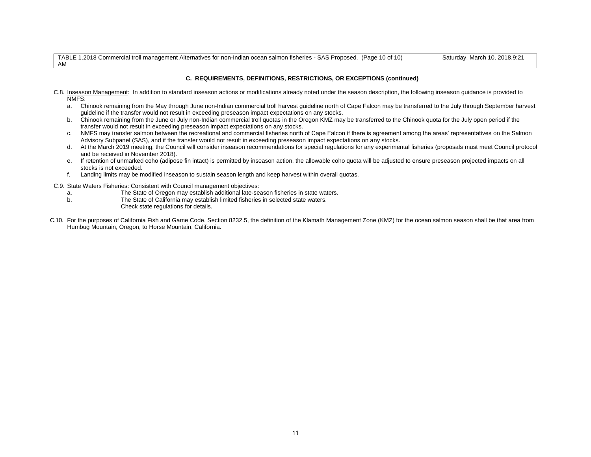TABLE 1.2018 Commercial troll management Alternatives for non-Indian ocean salmon fisheries - SAS Proposed. (Page 10 of 10) Saturday, March 10, 2018,9:21 AM

# **C. REQUIREMENTS, DEFINITIONS, RESTRICTIONS, OR EXCEPTIONS (continued)**

- C.8. Inseason Management: In addition to standard inseason actions or modifications already noted under the season description, the following inseason guidance is provided to NMFS:
	- a. Chinook remaining from the May through June non-Indian commercial troll harvest guideline north of Cape Falcon may be transferred to the July through September harvest guideline if the transfer would not result in exceeding preseason impact expectations on any stocks.
	- b. Chinook remaining from the June or July non-Indian commercial troll quotas in the Oregon KMZ may be transferred to the Chinook quota for the July open period if the transfer would not result in exceeding preseason impact expectations on any stocks.
	- c. NMFS may transfer salmon between the recreational and commercial fisheries north of Cape Falcon if there is agreement among the areas' representatives on the Salmon Advisory Subpanel (SAS), and if the transfer would not result in exceeding preseason impact expectations on any stocks.
	- d. At the March 2019 meeting, the Council will consider inseason recommendations for special regulations for any experimental fisheries (proposals must meet Council protocol and be received in November 2018).
	- e. If retention of unmarked coho (adipose fin intact) is permitted by inseason action, the allowable coho quota will be adjusted to ensure preseason projected impacts on all stocks is not exceeded.
	- f. Landing limits may be modified inseason to sustain season length and keep harvest within overall quotas.
- C.9. State Waters Fisheries: Consistent with Council management objectives:
	- a. The State of Oregon may establish additional late-season fisheries in state waters.
	- b. The State of California may establish limited fisheries in selected state waters.
		- Check state regulations for details.
- C.10. For the purposes of California Fish and Game Code, Section 8232.5, the definition of the Klamath Management Zone (KMZ) for the ocean salmon season shall be that area from Humbug Mountain, Oregon, to Horse Mountain, California.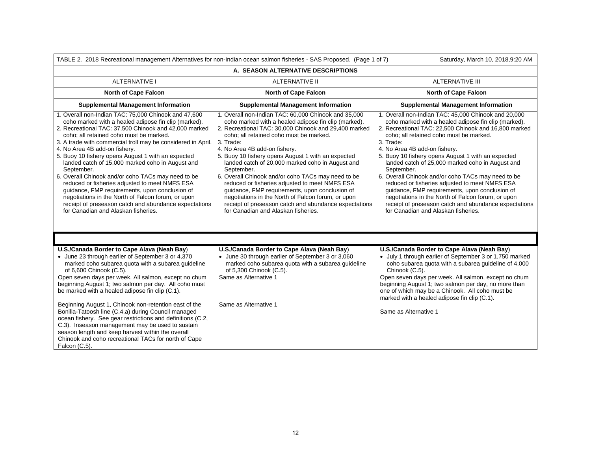|                                                                                                                                                                                                                                                                                                                                                                                                                                                                                                                                                                                                                                                                                                                                                           | TABLE 2. 2018 Recreational management Alternatives for non-Indian ocean salmon fisheries - SAS Proposed. (Page 1 of 7)                                                                                                                                                                                                                                                                                                                                                                                                                                                                                                                                                                                 | Saturday, March 10, 2018,9:20 AM                                                                                                                                                                                                                                                                                                                                                                                                                                                                                                                                                                                                                                                                       |  |  |
|-----------------------------------------------------------------------------------------------------------------------------------------------------------------------------------------------------------------------------------------------------------------------------------------------------------------------------------------------------------------------------------------------------------------------------------------------------------------------------------------------------------------------------------------------------------------------------------------------------------------------------------------------------------------------------------------------------------------------------------------------------------|--------------------------------------------------------------------------------------------------------------------------------------------------------------------------------------------------------------------------------------------------------------------------------------------------------------------------------------------------------------------------------------------------------------------------------------------------------------------------------------------------------------------------------------------------------------------------------------------------------------------------------------------------------------------------------------------------------|--------------------------------------------------------------------------------------------------------------------------------------------------------------------------------------------------------------------------------------------------------------------------------------------------------------------------------------------------------------------------------------------------------------------------------------------------------------------------------------------------------------------------------------------------------------------------------------------------------------------------------------------------------------------------------------------------------|--|--|
| A. SEASON ALTERNATIVE DESCRIPTIONS                                                                                                                                                                                                                                                                                                                                                                                                                                                                                                                                                                                                                                                                                                                        |                                                                                                                                                                                                                                                                                                                                                                                                                                                                                                                                                                                                                                                                                                        |                                                                                                                                                                                                                                                                                                                                                                                                                                                                                                                                                                                                                                                                                                        |  |  |
| <b>ALTERNATIVE I</b>                                                                                                                                                                                                                                                                                                                                                                                                                                                                                                                                                                                                                                                                                                                                      | <b>ALTERNATIVE II</b>                                                                                                                                                                                                                                                                                                                                                                                                                                                                                                                                                                                                                                                                                  |                                                                                                                                                                                                                                                                                                                                                                                                                                                                                                                                                                                                                                                                                                        |  |  |
| <b>North of Cape Falcon</b>                                                                                                                                                                                                                                                                                                                                                                                                                                                                                                                                                                                                                                                                                                                               | <b>North of Cape Falcon</b>                                                                                                                                                                                                                                                                                                                                                                                                                                                                                                                                                                                                                                                                            | North of Cape Falcon                                                                                                                                                                                                                                                                                                                                                                                                                                                                                                                                                                                                                                                                                   |  |  |
| <b>Supplemental Management Information</b>                                                                                                                                                                                                                                                                                                                                                                                                                                                                                                                                                                                                                                                                                                                | <b>Supplemental Management Information</b>                                                                                                                                                                                                                                                                                                                                                                                                                                                                                                                                                                                                                                                             | <b>Supplemental Management Information</b>                                                                                                                                                                                                                                                                                                                                                                                                                                                                                                                                                                                                                                                             |  |  |
| 1. Overall non-Indian TAC: 75,000 Chinook and 47,600<br>coho marked with a healed adipose fin clip (marked).<br>2. Recreational TAC: 37,500 Chinook and 42,000 marked<br>coho: all retained coho must be marked.<br>3. A trade with commercial troll may be considered in April.<br>4. No Area 4B add-on fishery.<br>5. Buoy 10 fishery opens August 1 with an expected<br>landed catch of 15,000 marked coho in August and<br>September.<br>6. Overall Chinook and/or coho TACs may need to be<br>reduced or fisheries adjusted to meet NMFS ESA<br>guidance, FMP requirements, upon conclusion of<br>negotiations in the North of Falcon forum, or upon<br>receipt of preseason catch and abundance expectations<br>for Canadian and Alaskan fisheries. | 1. Overall non-Indian TAC: 60,000 Chinook and 35,000<br>coho marked with a healed adipose fin clip (marked).<br>2. Recreational TAC: 30,000 Chinook and 29,400 marked<br>coho: all retained coho must be marked.<br>3. Trade:<br>4. No Area 4B add-on fishery.<br>5. Buoy 10 fishery opens August 1 with an expected<br>landed catch of 20,000 marked coho in August and<br>September.<br>6. Overall Chinook and/or coho TACs may need to be<br>reduced or fisheries adjusted to meet NMFS ESA<br>guidance, FMP requirements, upon conclusion of<br>negotiations in the North of Falcon forum, or upon<br>receipt of preseason catch and abundance expectations<br>for Canadian and Alaskan fisheries. | 1. Overall non-Indian TAC: 45,000 Chinook and 20,000<br>coho marked with a healed adipose fin clip (marked).<br>2. Recreational TAC: 22,500 Chinook and 16,800 marked<br>coho; all retained coho must be marked.<br>3. Trade:<br>4. No Area 4B add-on fishery.<br>5. Buoy 10 fishery opens August 1 with an expected<br>landed catch of 25,000 marked coho in August and<br>September.<br>6. Overall Chinook and/or coho TACs may need to be<br>reduced or fisheries adjusted to meet NMFS ESA<br>guidance, FMP requirements, upon conclusion of<br>negotiations in the North of Falcon forum, or upon<br>receipt of preseason catch and abundance expectations<br>for Canadian and Alaskan fisheries. |  |  |
|                                                                                                                                                                                                                                                                                                                                                                                                                                                                                                                                                                                                                                                                                                                                                           |                                                                                                                                                                                                                                                                                                                                                                                                                                                                                                                                                                                                                                                                                                        |                                                                                                                                                                                                                                                                                                                                                                                                                                                                                                                                                                                                                                                                                                        |  |  |
| U.S./Canada Border to Cape Alava (Neah Bay)<br>• June 23 through earlier of September 3 or 4,370<br>marked coho subarea quota with a subarea guideline<br>of 6,600 Chinook (C.5).<br>Open seven days per week. All salmon, except no chum<br>beginning August 1; two salmon per day. All coho must<br>be marked with a healed adipose fin clip (C.1).<br>Beginning August 1, Chinook non-retention east of the<br>Bonilla-Tatoosh line (C.4.a) during Council managed<br>ocean fishery. See gear restrictions and definitions (C.2,<br>C.3). Inseason management may be used to sustain<br>season length and keep harvest within the overall<br>Chinook and coho recreational TACs for north of Cape<br>Falcon (C.5).                                     | U.S./Canada Border to Cape Alava (Neah Bay)<br>• June 30 through earlier of September 3 or 3,060<br>marked coho subarea quota with a subarea quideline<br>of 5,300 Chinook (C.5).<br>Same as Alternative 1<br>Same as Alternative 1                                                                                                                                                                                                                                                                                                                                                                                                                                                                    | U.S./Canada Border to Cape Alava (Neah Bay)<br>• July 1 through earlier of September 3 or 1,750 marked<br>coho subarea quota with a subarea guideline of 4,000<br>Chinook (C.5).<br>Open seven days per week. All salmon, except no chum<br>beginning August 1; two salmon per day, no more than<br>one of which may be a Chinook. All coho must be<br>marked with a healed adipose fin clip (C.1).<br>Same as Alternative 1                                                                                                                                                                                                                                                                           |  |  |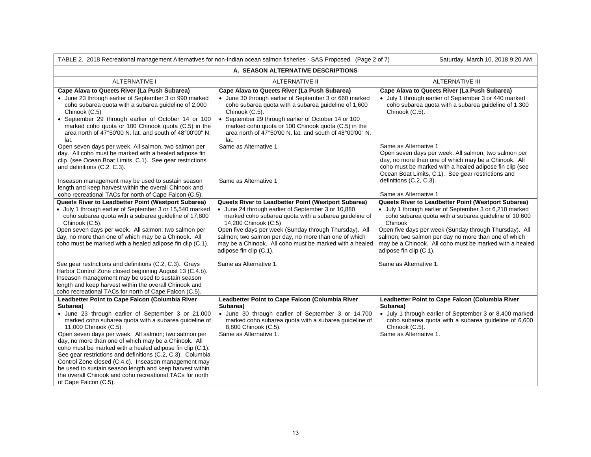| TABLE 2. 2018 Recreational management Alternatives for non-Indian ocean salmon fisheries - SAS Proposed. (Page 2 of 7)<br>Saturday, March 10, 2018,9:20 AM                                                                                                                                                                                                                                                                                                                                                                                                                                                                                              |                                                                                                                                                                                                                                                                                                                                                                                                     |                                                                                                                                                                                                                                                                                                                                                                                            |  |  |
|---------------------------------------------------------------------------------------------------------------------------------------------------------------------------------------------------------------------------------------------------------------------------------------------------------------------------------------------------------------------------------------------------------------------------------------------------------------------------------------------------------------------------------------------------------------------------------------------------------------------------------------------------------|-----------------------------------------------------------------------------------------------------------------------------------------------------------------------------------------------------------------------------------------------------------------------------------------------------------------------------------------------------------------------------------------------------|--------------------------------------------------------------------------------------------------------------------------------------------------------------------------------------------------------------------------------------------------------------------------------------------------------------------------------------------------------------------------------------------|--|--|
| A. SEASON ALTERNATIVE DESCRIPTIONS                                                                                                                                                                                                                                                                                                                                                                                                                                                                                                                                                                                                                      |                                                                                                                                                                                                                                                                                                                                                                                                     |                                                                                                                                                                                                                                                                                                                                                                                            |  |  |
| <b>ALTERNATIVE I</b>                                                                                                                                                                                                                                                                                                                                                                                                                                                                                                                                                                                                                                    | <b>ALTERNATIVE II</b>                                                                                                                                                                                                                                                                                                                                                                               | <b>ALTERNATIVE III</b>                                                                                                                                                                                                                                                                                                                                                                     |  |  |
| Cape Alava to Queets River (La Push Subarea)<br>• June 23 through earlier of September 3 or 990 marked<br>coho subarea quota with a subarea guideline of 2,000<br>Chinook (C.5)<br>• September 29 through earlier of October 14 or 100<br>marked coho quota or 100 Chinook quota (C.5) in the<br>area north of 47°50'00 N. lat. and south of 48°00'00" N.<br>lat.<br>Open seven days per week. All salmon, two salmon per<br>day. All coho must be marked with a healed adipose fin<br>clip. (see Ocean Boat Limits, C.1). See gear restrictions                                                                                                        | Cape Alava to Queets River (La Push Subarea)<br>• June 30 through earlier of September 3 or 660 marked<br>coho subarea quota with a subarea guideline of 1,600<br>Chinook (C.5).<br>• September 29 through earlier of October 14 or 100<br>marked coho quota or 100 Chinook quota (C.5) in the<br>area north of 47°50'00 N. lat. and south of 48°00'00" N.<br>lat.<br>Same as Alternative 1         | Cape Alava to Queets River (La Push Subarea)<br>• July 1 through earlier of September 3 or 440 marked<br>coho subarea quota with a subarea guideline of 1,300<br>Chinook (C.5).<br>Same as Alternative 1<br>Open seven days per week. All salmon, two salmon per<br>day, no more than one of which may be a Chinook. All                                                                   |  |  |
| and definitions (C.2, C.3).<br>Inseason management may be used to sustain season<br>length and keep harvest within the overall Chinook and<br>coho recreational TACs for north of Cape Falcon (C.5).                                                                                                                                                                                                                                                                                                                                                                                                                                                    | Same as Alternative 1                                                                                                                                                                                                                                                                                                                                                                               | coho must be marked with a healed adipose fin clip (see<br>Ocean Boat Limits, C.1). See gear restrictions and<br>definitions (C.2, C.3).<br>Same as Alternative 1                                                                                                                                                                                                                          |  |  |
| Queets River to Leadbetter Point (Westport Subarea)<br>• July 1 through earlier of September 3 or 15,540 marked<br>coho subarea quota with a subarea guideline of 17,800<br>Chinook (C.5).<br>Open seven days per week. All salmon; two salmon per<br>day, no more than one of which may be a Chinook. All<br>coho must be marked with a healed adipose fin clip (C.1).                                                                                                                                                                                                                                                                                 | Queets River to Leadbetter Point (Westport Subarea)<br>• June 24 through earlier of September 3 or 10,880<br>marked coho subarea quota with a subarea guideline of<br>14,200 Chinook (C.5)<br>Open five days per week (Sunday through Thursday). All<br>salmon; two salmon per day, no more than one of which<br>may be a Chinook. All coho must be marked with a healed<br>adipose fin clip (C.1). | Queets River to Leadbetter Point (Westport Subarea)<br>• July 1 through earlier of September 3 or 6,210 marked<br>coho subarea quota with a subarea guideline of 10,600<br>Chinook<br>Open five days per week (Sunday through Thursday). All<br>salmon; two salmon per day no more than one of which<br>may be a Chinook. All coho must be marked with a healed<br>adipose fin clip (C.1). |  |  |
| See gear restrictions and definitions (C.2, C.3). Grays<br>Harbor Control Zone closed beginning August 13 (C.4.b).<br>Inseason management may be used to sustain season<br>length and keep harvest within the overall Chinook and<br>coho recreational TACs for north of Cape Falcon (C.5).                                                                                                                                                                                                                                                                                                                                                             | Same as Alternative 1.                                                                                                                                                                                                                                                                                                                                                                              | Same as Alternative 1.                                                                                                                                                                                                                                                                                                                                                                     |  |  |
| Leadbetter Point to Cape Falcon (Columbia River<br>Subarea)<br>• June 23 through earlier of September 3 or 21,000<br>marked coho subarea quota with a subarea guideline of<br>11,000 Chinook (C.5).<br>Open seven days per week. All salmon; two salmon per<br>day, no more than one of which may be a Chinook. All<br>coho must be marked with a healed adipose fin clip (C.1).<br>See gear restrictions and definitions (C.2, C.3). Columbia<br>Control Zone closed (C.4.c). Inseason management may<br>be used to sustain season length and keep harvest within<br>the overall Chinook and coho recreational TACs for north<br>of Cape Falcon (C.5). | Leadbetter Point to Cape Falcon (Columbia River<br>Subarea)<br>· June 30 through earlier of September 3 or 14,700<br>marked coho subarea quota with a subarea guideline of<br>8,800 Chinook (C.5).<br>Same as Alternative 1.                                                                                                                                                                        | Leadbetter Point to Cape Falcon (Columbia River<br>Subarea)<br>• July 1 through earlier of September 3 or 8,400 marked<br>coho subarea quota with a subarea guideline of 6,600<br>Chinook (C.5).<br>Same as Alternative 1.                                                                                                                                                                 |  |  |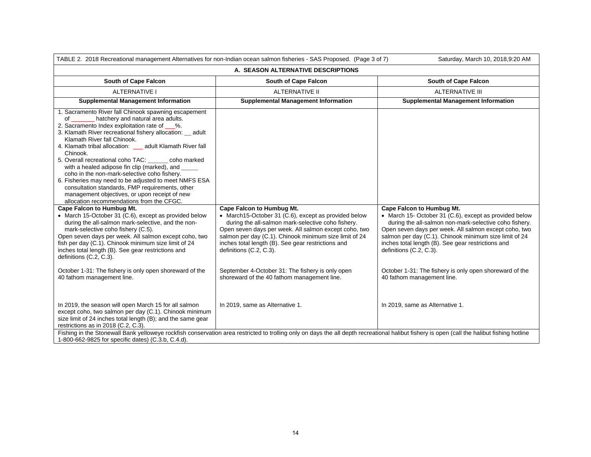| TABLE 2. 2018 Recreational management Alternatives for non-Indian ocean salmon fisheries - SAS Proposed. (Page 3 of 7)<br>Saturday, March 10, 2018,9:20 AM                                                                                                                                                                                                                                                                                                                                                                                                                                                                                                                                                                                                                 |                                                                                                                                                                                                                                                        |                                                                                                                                                                                                                                                            |  |  |
|----------------------------------------------------------------------------------------------------------------------------------------------------------------------------------------------------------------------------------------------------------------------------------------------------------------------------------------------------------------------------------------------------------------------------------------------------------------------------------------------------------------------------------------------------------------------------------------------------------------------------------------------------------------------------------------------------------------------------------------------------------------------------|--------------------------------------------------------------------------------------------------------------------------------------------------------------------------------------------------------------------------------------------------------|------------------------------------------------------------------------------------------------------------------------------------------------------------------------------------------------------------------------------------------------------------|--|--|
| A. SEASON ALTERNATIVE DESCRIPTIONS                                                                                                                                                                                                                                                                                                                                                                                                                                                                                                                                                                                                                                                                                                                                         |                                                                                                                                                                                                                                                        |                                                                                                                                                                                                                                                            |  |  |
| South of Cape Falcon                                                                                                                                                                                                                                                                                                                                                                                                                                                                                                                                                                                                                                                                                                                                                       | South of Cape Falcon<br>South of Cape Falcon                                                                                                                                                                                                           |                                                                                                                                                                                                                                                            |  |  |
| <b>ALTERNATIVE I</b>                                                                                                                                                                                                                                                                                                                                                                                                                                                                                                                                                                                                                                                                                                                                                       | <b>ALTERNATIVE II</b>                                                                                                                                                                                                                                  | <b>ALTERNATIVE III</b>                                                                                                                                                                                                                                     |  |  |
| <b>Supplemental Management Information</b>                                                                                                                                                                                                                                                                                                                                                                                                                                                                                                                                                                                                                                                                                                                                 | <b>Supplemental Management Information</b>                                                                                                                                                                                                             | <b>Supplemental Management Information</b>                                                                                                                                                                                                                 |  |  |
| 1. Sacramento River fall Chinook spawning escapement<br>hatchery and natural area adults.<br>of<br>2. Sacramento Index exploitation rate of ___%.<br>3. Klamath River recreational fishery allocation: _ adult<br>Klamath River fall Chinook.<br>4. Klamath tribal allocation: __ adult Klamath River fall<br>Chinook.<br>5. Overall recreational coho TAC:<br>coho marked<br>with a healed adipose fin clip (marked), and<br>coho in the non-mark-selective coho fishery.<br>6. Fisheries may need to be adjusted to meet NMFS ESA<br>consultation standards, FMP requirements, other<br>management objectives, or upon receipt of new<br>allocation recommendations from the CFGC.<br>Cape Falcon to Humbug Mt.<br>• March 15-October 31 (C.6), except as provided below | Cape Falcon to Humbug Mt.<br>• March15-October 31 (C.6), except as provided below                                                                                                                                                                      | Cape Falcon to Humbug Mt.<br>• March 15- October 31 (C.6), except as provided below                                                                                                                                                                        |  |  |
| during the all-salmon mark-selective, and the non-<br>mark-selective coho fishery (C.5).<br>Open seven days per week. All salmon except coho, two<br>fish per day (C.1). Chinook minimum size limit of 24<br>inches total length (B). See gear restrictions and<br>definitions (C.2, C.3).                                                                                                                                                                                                                                                                                                                                                                                                                                                                                 | during the all-salmon mark-selective coho fishery.<br>Open seven days per week. All salmon except coho, two<br>salmon per day (C.1). Chinook minimum size limit of 24<br>inches total length (B). See gear restrictions and<br>definitions (C.2, C.3). | during the all-salmon non-mark-selective coho fishery.<br>Open seven days per week. All salmon except coho, two<br>salmon per day (C.1). Chinook minimum size limit of 24<br>inches total length (B). See gear restrictions and<br>definitions (C.2, C.3). |  |  |
| October 1-31: The fishery is only open shoreward of the<br>40 fathom management line.                                                                                                                                                                                                                                                                                                                                                                                                                                                                                                                                                                                                                                                                                      | September 4-October 31: The fishery is only open<br>shoreward of the 40 fathom management line.                                                                                                                                                        | October 1-31: The fishery is only open shoreward of the<br>40 fathom management line.                                                                                                                                                                      |  |  |
| In 2019, the season will open March 15 for all salmon<br>except coho, two salmon per day (C.1). Chinook minimum<br>size limit of 24 inches total length (B); and the same gear<br>restrictions as in 2018 (C.2, C.3).                                                                                                                                                                                                                                                                                                                                                                                                                                                                                                                                                      | In 2019, same as Alternative 1.                                                                                                                                                                                                                        | In 2019, same as Alternative 1.                                                                                                                                                                                                                            |  |  |
| Fishing in the Stonewall Bank yelloweye rockfish conservation area restricted to trolling only on days the all depth recreational halibut fishery is open (call the halibut fishing hotline<br>1-800-662-9825 for specific dates) (C.3.b, C.4.d).                                                                                                                                                                                                                                                                                                                                                                                                                                                                                                                          |                                                                                                                                                                                                                                                        |                                                                                                                                                                                                                                                            |  |  |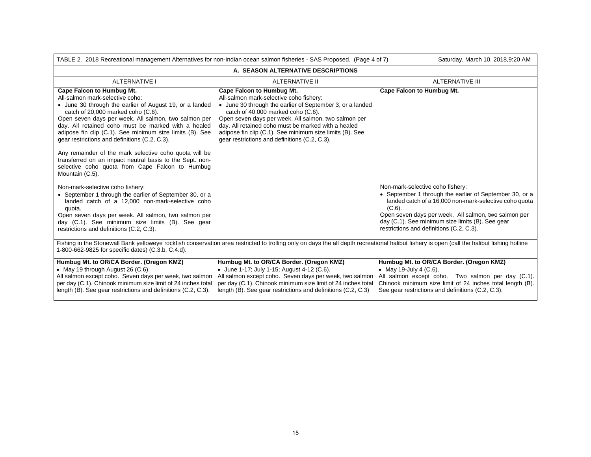| TABLE 2. 2018 Recreational management Alternatives for non-Indian ocean salmon fisheries - SAS Proposed. (Page 4 of 7)<br>Saturday, March 10, 2018,9:20 AM                                                                                                                                                                                                                                                                                                                                                                                                                                   |                                                                                                                                                                                                                                                                                                                                                                                                            |                                                                                                                                                                                                                                                                                                                            |  |
|----------------------------------------------------------------------------------------------------------------------------------------------------------------------------------------------------------------------------------------------------------------------------------------------------------------------------------------------------------------------------------------------------------------------------------------------------------------------------------------------------------------------------------------------------------------------------------------------|------------------------------------------------------------------------------------------------------------------------------------------------------------------------------------------------------------------------------------------------------------------------------------------------------------------------------------------------------------------------------------------------------------|----------------------------------------------------------------------------------------------------------------------------------------------------------------------------------------------------------------------------------------------------------------------------------------------------------------------------|--|
| A. SEASON ALTERNATIVE DESCRIPTIONS                                                                                                                                                                                                                                                                                                                                                                                                                                                                                                                                                           |                                                                                                                                                                                                                                                                                                                                                                                                            |                                                                                                                                                                                                                                                                                                                            |  |
| <b>ALTERNATIVE I</b>                                                                                                                                                                                                                                                                                                                                                                                                                                                                                                                                                                         | ALTERNATIVE II                                                                                                                                                                                                                                                                                                                                                                                             | <b>ALTERNATIVE III</b>                                                                                                                                                                                                                                                                                                     |  |
| <b>Cape Falcon to Humbug Mt.</b><br>All-salmon mark-selective coho:<br>• June 30 through the earlier of August 19, or a landed<br>catch of 20,000 marked coho (C.6).<br>Open seven days per week. All salmon, two salmon per<br>day. All retained coho must be marked with a healed<br>adipose fin clip (C.1). See minimum size limits (B). See<br>gear restrictions and definitions (C.2, C.3).<br>Any remainder of the mark selective coho quota will be<br>transferred on an impact neutral basis to the Sept. non-<br>selective coho quota from Cape Falcon to Humbug<br>Mountain (C.5). | <b>Cape Falcon to Humbug Mt.</b><br>All-salmon mark-selective coho fishery:<br>• June 30 through the earlier of September 3, or a landed<br>catch of 40,000 marked coho (C.6).<br>Open seven days per week. All salmon, two salmon per<br>day. All retained coho must be marked with a healed<br>adipose fin clip (C.1). See minimum size limits (B). See<br>gear restrictions and definitions (C.2, C.3). | <b>Cape Falcon to Humbug Mt.</b>                                                                                                                                                                                                                                                                                           |  |
| Non-mark-selective coho fishery:<br>• September 1 through the earlier of September 30, or a<br>landed catch of a 12,000 non-mark-selective coho<br>quota.<br>Open seven days per week. All salmon, two salmon per<br>day (C.1). See minimum size limits (B). See gear<br>restrictions and definitions (C.2, C.3).                                                                                                                                                                                                                                                                            |                                                                                                                                                                                                                                                                                                                                                                                                            | Non-mark-selective coho fishery:<br>• September 1 through the earlier of September 30, or a<br>landed catch of a 16,000 non-mark-selective coho quota<br>$(C.6)$ .<br>Open seven days per week. All salmon, two salmon per<br>day (C.1). See minimum size limits (B). See gear<br>restrictions and definitions (C.2, C.3). |  |
| Fishing in the Stonewall Bank yelloweye rockfish conservation area restricted to trolling only on days the all depth recreational halibut fishery is open (call the halibut fishing hotline<br>1-800-662-9825 for specific dates) (C.3.b, C.4.d).                                                                                                                                                                                                                                                                                                                                            |                                                                                                                                                                                                                                                                                                                                                                                                            |                                                                                                                                                                                                                                                                                                                            |  |
| Humbug Mt. to OR/CA Border. (Oregon KMZ)<br>• May 19 through August 26 (C.6).<br>All salmon except coho. Seven days per week, two salmon<br>per day (C.1). Chinook minimum size limit of 24 inches total<br>length (B). See gear restrictions and definitions (C.2, C.3).                                                                                                                                                                                                                                                                                                                    | Humbug Mt. to OR/CA Border. (Oregon KMZ)<br>• June 1-17; July 1-15; August 4-12 (C.6).<br>All salmon except coho. Seven days per week, two salmon<br>per day (C.1). Chinook minimum size limit of 24 inches total<br>length (B). See gear restrictions and definitions (C.2, C.3)                                                                                                                          | Humbug Mt. to OR/CA Border. (Oregon KMZ)<br>• May 19-July 4 $(C.6)$ .<br>All salmon except coho. Two salmon per day (C.1).<br>Chinook minimum size limit of 24 inches total length (B).<br>See gear restrictions and definitions (C.2, C.3).                                                                               |  |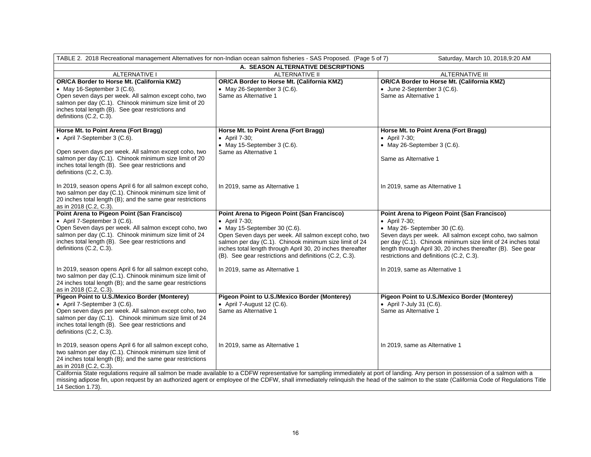| TABLE 2. 2018 Recreational management Alternatives for non-Indian ocean salmon fisheries - SAS Proposed. (Page 5 of 7)<br>Saturday, March 10, 2018,9:20 AM                                                                                                                                                                                                                                              |                                                                                                                                                                                                                                                                                                                                                                                   |                                                                                                                                                                                                                                                                                                                                                                               |  |  |  |
|---------------------------------------------------------------------------------------------------------------------------------------------------------------------------------------------------------------------------------------------------------------------------------------------------------------------------------------------------------------------------------------------------------|-----------------------------------------------------------------------------------------------------------------------------------------------------------------------------------------------------------------------------------------------------------------------------------------------------------------------------------------------------------------------------------|-------------------------------------------------------------------------------------------------------------------------------------------------------------------------------------------------------------------------------------------------------------------------------------------------------------------------------------------------------------------------------|--|--|--|
| A. SEASON ALTERNATIVE DESCRIPTIONS                                                                                                                                                                                                                                                                                                                                                                      |                                                                                                                                                                                                                                                                                                                                                                                   |                                                                                                                                                                                                                                                                                                                                                                               |  |  |  |
| <b>ALTERNATIVE I</b>                                                                                                                                                                                                                                                                                                                                                                                    | <b>ALTERNATIVE II</b>                                                                                                                                                                                                                                                                                                                                                             | <b>ALTERNATIVE III</b>                                                                                                                                                                                                                                                                                                                                                        |  |  |  |
| OR/CA Border to Horse Mt. (California KMZ)<br>• May 16-September 3 (C.6).<br>Open seven days per week. All salmon except coho, two<br>salmon per day (C.1). Chinook minimum size limit of 20<br>inches total length (B). See gear restrictions and<br>definitions (C.2, C.3).                                                                                                                           | OR/CA Border to Horse Mt. (California KMZ)<br>• May 26-September 3 $(C.6)$ .<br>Same as Alternative 1                                                                                                                                                                                                                                                                             | OR/CA Border to Horse Mt. (California KMZ)<br>• June 2-September 3 (C.6).<br>Same as Alternative 1                                                                                                                                                                                                                                                                            |  |  |  |
| Horse Mt. to Point Arena (Fort Bragg)<br>• April 7-September 3 (C.6).<br>Open seven days per week. All salmon except coho, two<br>salmon per day (C.1). Chinook minimum size limit of 20<br>inches total length (B). See gear restrictions and<br>definitions (C.2, C.3).                                                                                                                               | Horse Mt. to Point Arena (Fort Bragg)<br>• April 7-30;<br>• May 15-September 3 $(C.6)$ .<br>Same as Alternative 1                                                                                                                                                                                                                                                                 | Horse Mt. to Point Arena (Fort Bragg)<br>• April 7-30;<br>• May 26-September 3 $(C.6)$ .<br>Same as Alternative 1                                                                                                                                                                                                                                                             |  |  |  |
| In 2019, season opens April 6 for all salmon except coho,<br>two salmon per day (C.1). Chinook minimum size limit of<br>20 inches total length (B); and the same gear restrictions<br>as in 2018 (C.2, C.3).                                                                                                                                                                                            | In 2019, same as Alternative 1                                                                                                                                                                                                                                                                                                                                                    | In 2019, same as Alternative 1                                                                                                                                                                                                                                                                                                                                                |  |  |  |
| Point Arena to Pigeon Point (San Francisco)<br>• April 7-September 3 (C.6).<br>Open Seven days per week. All salmon except coho, two<br>salmon per day (C.1). Chinook minimum size limit of 24<br>inches total length (B). See gear restrictions and<br>definitions (C.2, C.3).<br>In 2019, season opens April 6 for all salmon except coho,<br>two salmon per day (C.1). Chinook minimum size limit of | Point Arena to Pigeon Point (San Francisco)<br>• April 7-30;<br>$\bullet$ May 15-September 30 (C.6).<br>Open Seven days per week. All salmon except coho, two<br>salmon per day (C.1). Chinook minimum size limit of 24<br>inches total length through April 30, 20 inches thereafter<br>(B). See gear restrictions and definitions (C.2, C.3).<br>In 2019, same as Alternative 1 | Point Arena to Pigeon Point (San Francisco)<br>• April 7-30;<br>$\bullet$ May 26- September 30 (C.6).<br>Seven days per week. All salmon except coho, two salmon<br>per day (C.1). Chinook minimum size limit of 24 inches total<br>length through April 30, 20 inches thereafter (B). See gear<br>restrictions and definitions (C.2, C.3).<br>In 2019, same as Alternative 1 |  |  |  |
| 24 inches total length (B); and the same gear restrictions<br>as in 2018 (C.2, C.3).                                                                                                                                                                                                                                                                                                                    |                                                                                                                                                                                                                                                                                                                                                                                   |                                                                                                                                                                                                                                                                                                                                                                               |  |  |  |
| Pigeon Point to U.S./Mexico Border (Monterey)<br>• April 7-September 3 (C.6).<br>Open seven days per week. All salmon except coho, two<br>salmon per day (C.1). Chinook minimum size limit of 24<br>inches total length (B). See gear restrictions and<br>definitions (C.2, C.3).                                                                                                                       | Pigeon Point to U.S./Mexico Border (Monterey)<br>• April 7-August 12 $(C.6)$ .<br>Same as Alternative 1                                                                                                                                                                                                                                                                           | Pigeon Point to U.S./Mexico Border (Monterey)<br>• April 7-July 31 (C.6).<br>Same as Alternative 1                                                                                                                                                                                                                                                                            |  |  |  |
| In 2019, season opens April 6 for all salmon except coho,<br>two salmon per day (C.1). Chinook minimum size limit of<br>24 inches total length (B); and the same gear restrictions<br>as in 2018 (C.2, C.3).                                                                                                                                                                                            | In 2019, same as Alternative 1                                                                                                                                                                                                                                                                                                                                                    | In 2019, same as Alternative 1                                                                                                                                                                                                                                                                                                                                                |  |  |  |
| California State regulations require all salmon be made available to a CDFW representative for sampling immediately at port of landing. Any person in possession of a salmon with a<br>missing adipose fin, upon request by an authorized agent or employee of the CDFW, shall immediately relinquish the head of the salmon to the state (California Code of Regulations Title<br>14 Section 1.73).    |                                                                                                                                                                                                                                                                                                                                                                                   |                                                                                                                                                                                                                                                                                                                                                                               |  |  |  |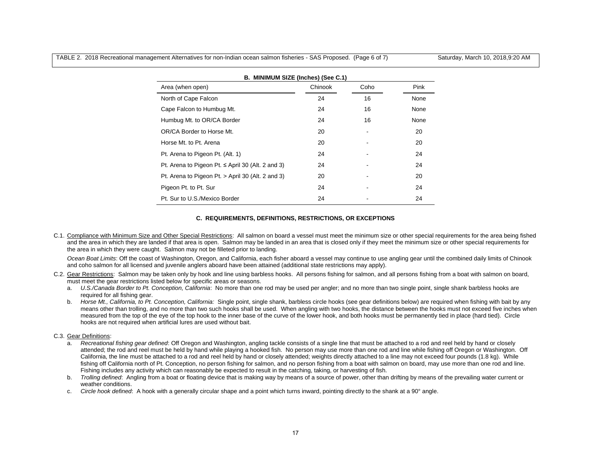TABLE 2. 2018 Recreational management Alternatives for non-Indian ocean salmon fisheries - SAS Proposed. (Page 6 of 7) Saturday, March 10, 2018,9:20 AM

| B. MINIMUM SIZE (Inches) (See C.1)                    |         |      |      |  |
|-------------------------------------------------------|---------|------|------|--|
| Area (when open)                                      | Chinook | Coho | Pink |  |
| North of Cape Falcon                                  | 24      | 16   | None |  |
| Cape Falcon to Humbug Mt.                             | 24      | 16   | None |  |
| Humbug Mt. to OR/CA Border                            | 24      | 16   | None |  |
| OR/CA Border to Horse Mt.                             | 20      | ٠    | 20   |  |
| Horse Mt. to Pt. Arena                                | 20      |      | 20   |  |
| Pt. Arena to Pigeon Pt. (Alt. 1)                      | 24      |      | 24   |  |
| Pt. Arena to Pigeon Pt. $\le$ April 30 (Alt. 2 and 3) | 24      |      | 24   |  |
| Pt. Arena to Pigeon Pt. > April 30 (Alt. 2 and 3)     | 20      |      | 20   |  |
| Pigeon Pt. to Pt. Sur                                 | 24      |      | 24   |  |
| Pt. Sur to U.S./Mexico Border                         | 24      |      | 24   |  |

## **C. REQUIREMENTS, DEFINITIONS, RESTRICTIONS, OR EXCEPTIONS**

C.1. Compliance with Minimum Size and Other Special Restrictions: All salmon on board a vessel must meet the minimum size or other special requirements for the area being fished and the area in which they are landed if that area is open. Salmon may be landed in an area that is closed only if they meet the minimum size or other special requirements for the area in which they were caught. Salmon may not be filleted prior to landing.

Ocean Boat Limits: Off the coast of Washington, Oregon, and California, each fisher aboard a vessel may continue to use angling gear until the combined daily limits of Chinook and coho salmon for all licensed and juvenile anglers aboard have been attained (additional state restrictions may apply).

- C.2. Gear Restrictions: Salmon may be taken only by hook and line using barbless hooks. All persons fishing for salmon, and all persons fishing from a boat with salmon on board, must meet the gear restrictions listed below for specific areas or seasons.
	- a. *U.S./Canada Border to Pt. Conception, California*: No more than one rod may be used per angler; and no more than two single point, single shank barbless hooks are required for all fishing gear.
	- b. *Horse Mt., California, to Pt. Conception, California:* Single point, single shank, barbless circle hooks (see gear definitions below) are required when fishing with bait by any means other than trolling, and no more than two such hooks shall be used. When angling with two hooks, the distance between the hooks must not exceed five inches when measured from the top of the eye of the top hook to the inner base of the curve of the lower hook, and both hooks must be permanently tied in place (hard tied). Circle hooks are not required when artificial lures are used without bait.

## C.3. Gear Definitions:

- a. *Recreational fishing gear defined*: Off Oregon and Washington, angling tackle consists of a single line that must be attached to a rod and reel held by hand or closely attended; the rod and reel must be held by hand while playing a hooked fish. No person may use more than one rod and line while fishing off Oregon or Washington. Off California, the line must be attached to a rod and reel held by hand or closely attended; weights directly attached to a line may not exceed four pounds (1.8 kg). While fishing off California north of Pt. Conception, no person fishing for salmon, and no person fishing from a boat with salmon on board, may use more than one rod and line. Fishing includes any activity which can reasonably be expected to result in the catching, taking, or harvesting of fish.
- b. *Trolling defined*: Angling from a boat or floating device that is making way by means of a source of power, other than drifting by means of the prevailing water current or weather conditions.
- c. *Circle hook defined*: A hook with a generally circular shape and a point which turns inward, pointing directly to the shank at a 90° angle.